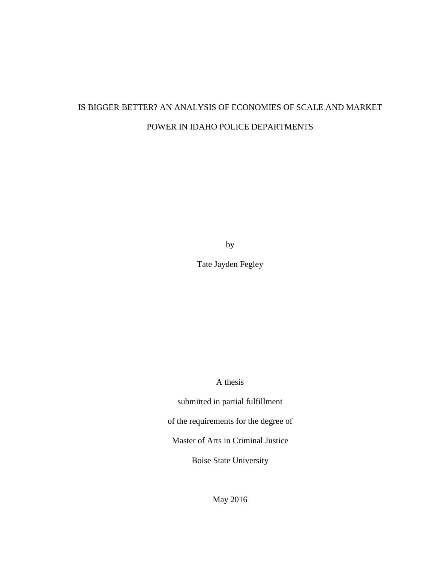# IS BIGGER BETTER? AN ANALYSIS OF ECONOMIES OF SCALE AND MARKET POWER IN IDAHO POLICE DEPARTMENTS

by

Tate Jayden Fegley

A thesis

submitted in partial fulfillment

of the requirements for the degree of

Master of Arts in Criminal Justice

Boise State University

May 2016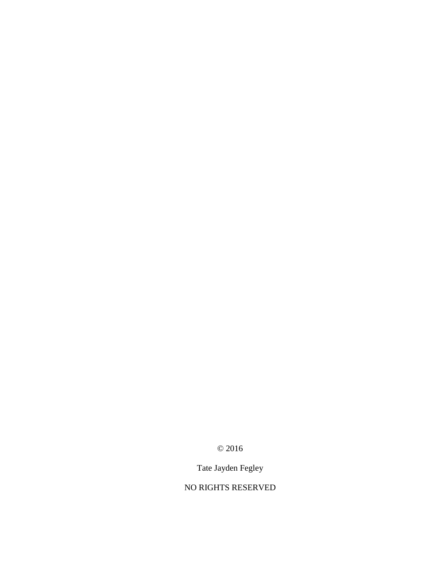© 2016

Tate Jayden Fegley

NO RIGHTS RESERVED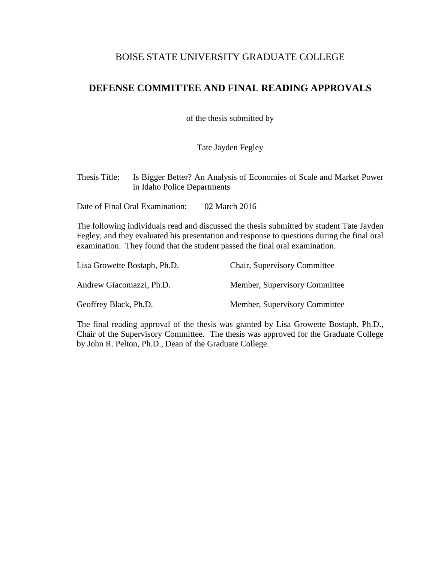## BOISE STATE UNIVERSITY GRADUATE COLLEGE

# **DEFENSE COMMITTEE AND FINAL READING APPROVALS**

of the thesis submitted by

Tate Jayden Fegley

Thesis Title: Is Bigger Better? An Analysis of Economies of Scale and Market Power in Idaho Police Departments

Date of Final Oral Examination: 02 March 2016

The following individuals read and discussed the thesis submitted by student Tate Jayden Fegley, and they evaluated his presentation and response to questions during the final oral examination. They found that the student passed the final oral examination.

| Lisa Growette Bostaph, Ph.D. | <b>Chair, Supervisory Committee</b> |
|------------------------------|-------------------------------------|
| Andrew Giacomazzi, Ph.D.     | Member, Supervisory Committee       |
| Geoffrey Black, Ph.D.        | Member, Supervisory Committee       |

The final reading approval of the thesis was granted by Lisa Growette Bostaph, Ph.D., Chair of the Supervisory Committee. The thesis was approved for the Graduate College by John R. Pelton, Ph.D., Dean of the Graduate College.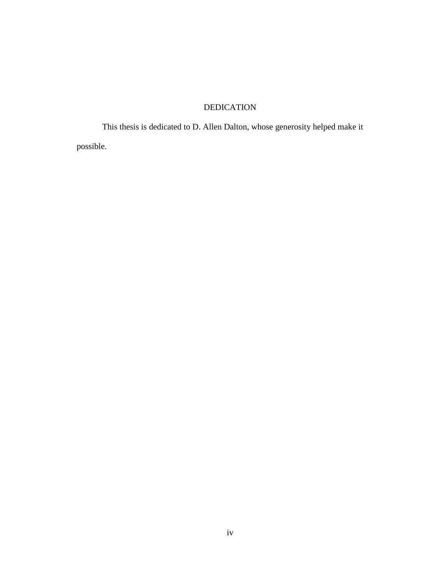# DEDICATION

<span id="page-3-0"></span>This thesis is dedicated to D. Allen Dalton, whose generosity helped make it possible.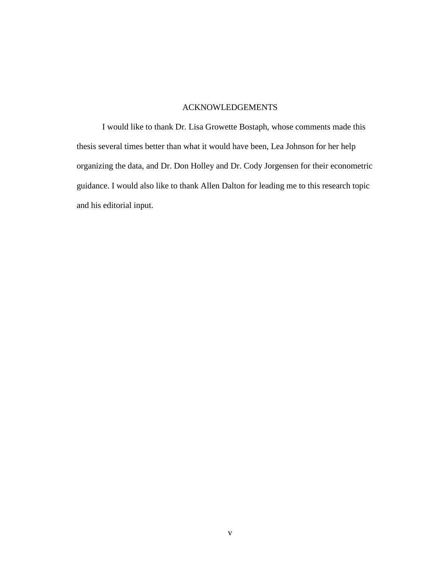### ACKNOWLEDGEMENTS

<span id="page-4-0"></span>I would like to thank Dr. Lisa Growette Bostaph, whose comments made this thesis several times better than what it would have been, Lea Johnson for her help organizing the data, and Dr. Don Holley and Dr. Cody Jorgensen for their econometric guidance. I would also like to thank Allen Dalton for leading me to this research topic and his editorial input.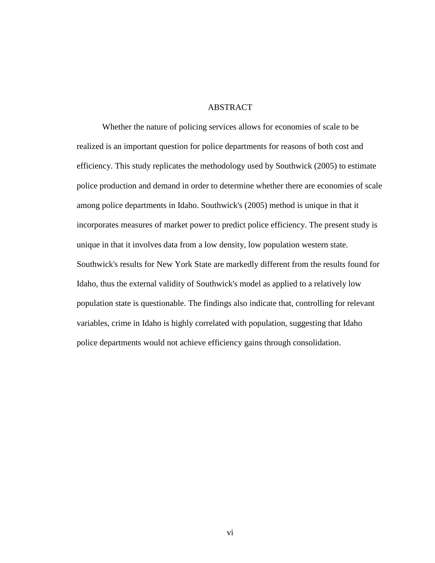### **ABSTRACT**

<span id="page-5-0"></span>Whether the nature of policing services allows for economies of scale to be realized is an important question for police departments for reasons of both cost and efficiency. This study replicates the methodology used by Southwick (2005) to estimate police production and demand in order to determine whether there are economies of scale among police departments in Idaho. Southwick's (2005) method is unique in that it incorporates measures of market power to predict police efficiency. The present study is unique in that it involves data from a low density, low population western state. Southwick's results for New York State are markedly different from the results found for Idaho, thus the external validity of Southwick's model as applied to a relatively low population state is questionable. The findings also indicate that, controlling for relevant variables, crime in Idaho is highly correlated with population, suggesting that Idaho police departments would not achieve efficiency gains through consolidation.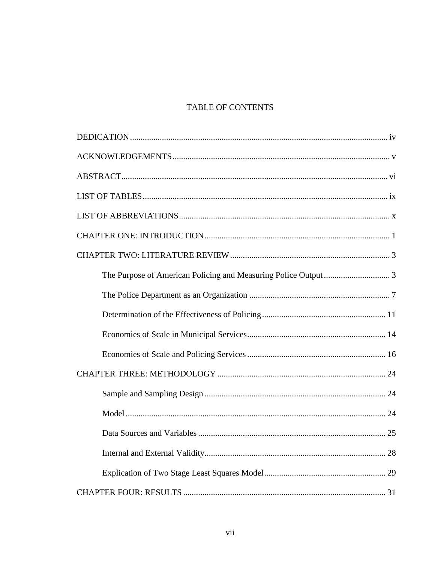# TABLE OF CONTENTS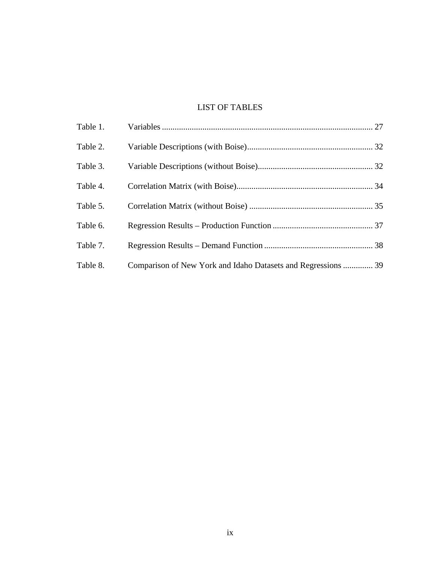# LIST OF TABLES

<span id="page-8-0"></span>

| Table 2. |                                                               |  |
|----------|---------------------------------------------------------------|--|
| Table 3. |                                                               |  |
| Table 4. |                                                               |  |
| Table 5. |                                                               |  |
| Table 6. |                                                               |  |
| Table 7. |                                                               |  |
| Table 8. | Comparison of New York and Idaho Datasets and Regressions  39 |  |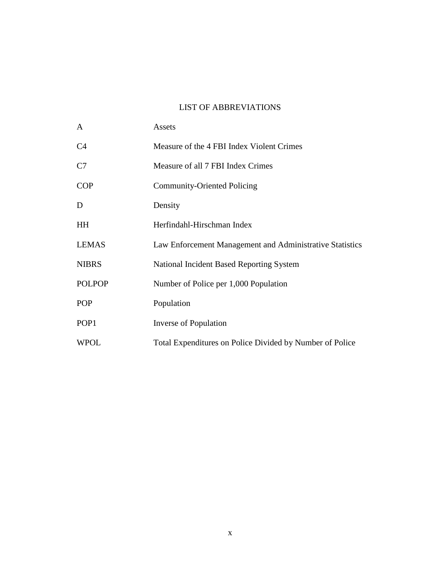# LIST OF ABBREVIATIONS

<span id="page-9-0"></span>

| A                | Assets                                                   |
|------------------|----------------------------------------------------------|
| C <sub>4</sub>   | Measure of the 4 FBI Index Violent Crimes                |
| C7               | Measure of all 7 FBI Index Crimes                        |
| <b>COP</b>       | <b>Community-Oriented Policing</b>                       |
| D                | Density                                                  |
| HH               | Herfindahl-Hirschman Index                               |
| <b>LEMAS</b>     | Law Enforcement Management and Administrative Statistics |
| <b>NIBRS</b>     | National Incident Based Reporting System                 |
| <b>POLPOP</b>    | Number of Police per 1,000 Population                    |
| <b>POP</b>       | Population                                               |
| POP <sub>1</sub> | Inverse of Population                                    |
| <b>WPOL</b>      | Total Expenditures on Police Divided by Number of Police |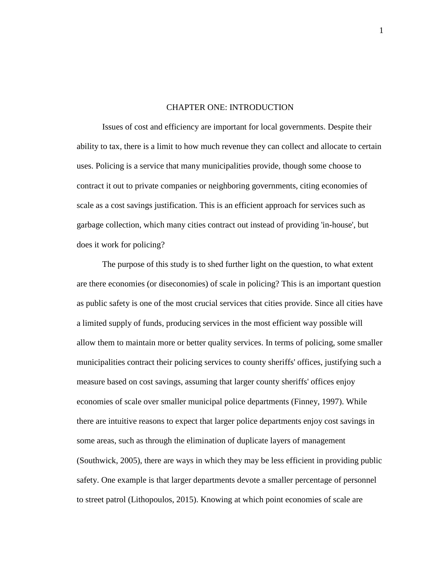#### CHAPTER ONE: INTRODUCTION

<span id="page-10-0"></span>Issues of cost and efficiency are important for local governments. Despite their ability to tax, there is a limit to how much revenue they can collect and allocate to certain uses. Policing is a service that many municipalities provide, though some choose to contract it out to private companies or neighboring governments, citing economies of scale as a cost savings justification. This is an efficient approach for services such as garbage collection, which many cities contract out instead of providing 'in-house', but does it work for policing?

The purpose of this study is to shed further light on the question, to what extent are there economies (or diseconomies) of scale in policing? This is an important question as public safety is one of the most crucial services that cities provide. Since all cities have a limited supply of funds, producing services in the most efficient way possible will allow them to maintain more or better quality services. In terms of policing, some smaller municipalities contract their policing services to county sheriffs' offices, justifying such a measure based on cost savings, assuming that larger county sheriffs' offices enjoy economies of scale over smaller municipal police departments (Finney, 1997). While there are intuitive reasons to expect that larger police departments enjoy cost savings in some areas, such as through the elimination of duplicate layers of management (Southwick, 2005), there are ways in which they may be less efficient in providing public safety. One example is that larger departments devote a smaller percentage of personnel to street patrol (Lithopoulos, 2015). Knowing at which point economies of scale are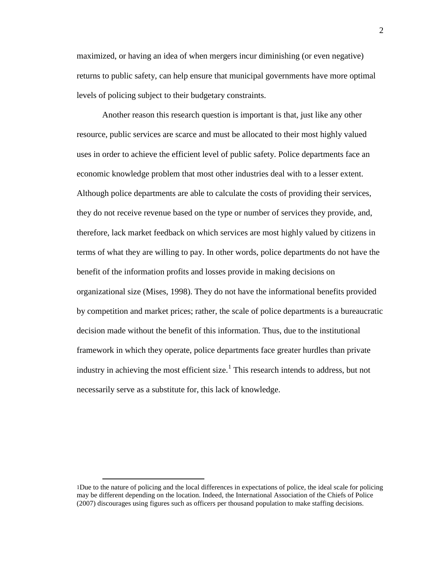maximized, or having an idea of when mergers incur diminishing (or even negative) returns to public safety, can help ensure that municipal governments have more optimal levels of policing subject to their budgetary constraints.

Another reason this research question is important is that, just like any other resource, public services are scarce and must be allocated to their most highly valued uses in order to achieve the efficient level of public safety. Police departments face an economic knowledge problem that most other industries deal with to a lesser extent. Although police departments are able to calculate the costs of providing their services, they do not receive revenue based on the type or number of services they provide, and, therefore, lack market feedback on which services are most highly valued by citizens in terms of what they are willing to pay. In other words, police departments do not have the benefit of the information profits and losses provide in making decisions on organizational size (Mises, 1998). They do not have the informational benefits provided by competition and market prices; rather, the scale of police departments is a bureaucratic decision made without the benefit of this information. Thus, due to the institutional framework in which they operate, police departments face greater hurdles than private industry in achieving the most efficient size.<sup>[1](#page-11-0)</sup> This research intends to address, but not necessarily serve as a substitute for, this lack of knowledge.

<span id="page-11-0"></span> <sup>1</sup>Due to the nature of policing and the local differences in expectations of police, the ideal scale for policing may be different depending on the location. Indeed, the International Association of the Chiefs of Police (2007) discourages using figures such as officers per thousand population to make staffing decisions.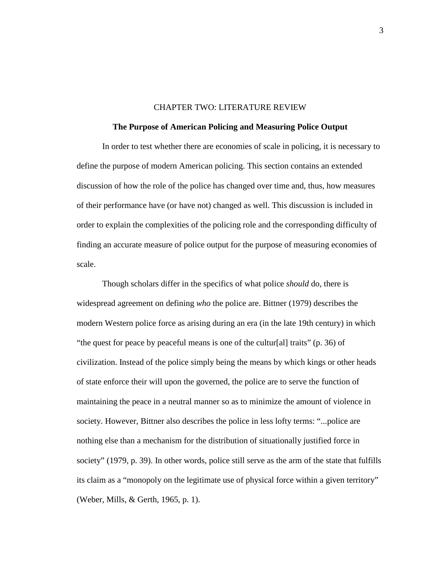#### CHAPTER TWO: LITERATURE REVIEW

#### <span id="page-12-0"></span>**The Purpose of American Policing and Measuring Police Output**

<span id="page-12-1"></span>In order to test whether there are economies of scale in policing, it is necessary to define the purpose of modern American policing. This section contains an extended discussion of how the role of the police has changed over time and, thus, how measures of their performance have (or have not) changed as well. This discussion is included in order to explain the complexities of the policing role and the corresponding difficulty of finding an accurate measure of police output for the purpose of measuring economies of scale.

Though scholars differ in the specifics of what police *should* do, there is widespread agreement on defining *who* the police are. Bittner (1979) describes the modern Western police force as arising during an era (in the late 19th century) in which "the quest for peace by peaceful means is one of the cultur[al] traits" (p. 36) of civilization. Instead of the police simply being the means by which kings or other heads of state enforce their will upon the governed, the police are to serve the function of maintaining the peace in a neutral manner so as to minimize the amount of violence in society. However, Bittner also describes the police in less lofty terms: "...police are nothing else than a mechanism for the distribution of situationally justified force in society" (1979, p. 39). In other words, police still serve as the arm of the state that fulfills its claim as a "monopoly on the legitimate use of physical force within a given territory" (Weber, Mills, & Gerth, 1965, p. 1).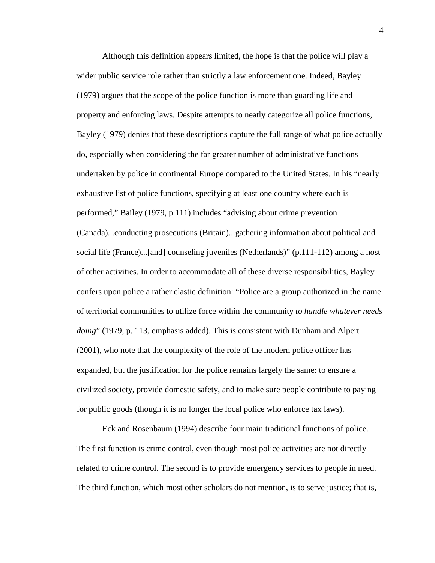Although this definition appears limited, the hope is that the police will play a wider public service role rather than strictly a law enforcement one. Indeed, Bayley (1979) argues that the scope of the police function is more than guarding life and property and enforcing laws. Despite attempts to neatly categorize all police functions, Bayley (1979) denies that these descriptions capture the full range of what police actually do, especially when considering the far greater number of administrative functions undertaken by police in continental Europe compared to the United States. In his "nearly exhaustive list of police functions, specifying at least one country where each is performed," Bailey (1979, p.111) includes "advising about crime prevention (Canada)...conducting prosecutions (Britain)...gathering information about political and social life (France)...[and] counseling juveniles (Netherlands)" (p.111-112) among a host of other activities. In order to accommodate all of these diverse responsibilities, Bayley confers upon police a rather elastic definition: "Police are a group authorized in the name of territorial communities to utilize force within the community *to handle whatever needs doing*" (1979, p. 113, emphasis added). This is consistent with Dunham and Alpert (2001), who note that the complexity of the role of the modern police officer has expanded, but the justification for the police remains largely the same: to ensure a civilized society, provide domestic safety, and to make sure people contribute to paying for public goods (though it is no longer the local police who enforce tax laws).

Eck and Rosenbaum (1994) describe four main traditional functions of police. The first function is crime control, even though most police activities are not directly related to crime control. The second is to provide emergency services to people in need. The third function, which most other scholars do not mention, is to serve justice; that is,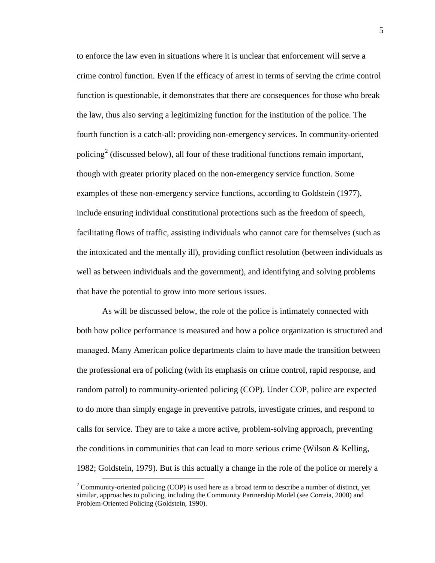to enforce the law even in situations where it is unclear that enforcement will serve a crime control function. Even if the efficacy of arrest in terms of serving the crime control function is questionable, it demonstrates that there are consequences for those who break the law, thus also serving a legitimizing function for the institution of the police. The fourth function is a catch-all: providing non-emergency services. In community-oriented policing<sup>[2](#page-14-0)</sup> (discussed below), all four of these traditional functions remain important, though with greater priority placed on the non-emergency service function. Some examples of these non-emergency service functions, according to Goldstein (1977), include ensuring individual constitutional protections such as the freedom of speech, facilitating flows of traffic, assisting individuals who cannot care for themselves (such as the intoxicated and the mentally ill), providing conflict resolution (between individuals as well as between individuals and the government), and identifying and solving problems that have the potential to grow into more serious issues.

As will be discussed below, the role of the police is intimately connected with both how police performance is measured and how a police organization is structured and managed. Many American police departments claim to have made the transition between the professional era of policing (with its emphasis on crime control, rapid response, and random patrol) to community-oriented policing (COP). Under COP, police are expected to do more than simply engage in preventive patrols, investigate crimes, and respond to calls for service. They are to take a more active, problem-solving approach, preventing the conditions in communities that can lead to more serious crime (Wilson  $&$  Kelling, 1982; Goldstein, 1979). But is this actually a change in the role of the police or merely a

<span id="page-14-0"></span><sup>&</sup>lt;sup>2</sup> Community-oriented policing (COP) is used here as a broad term to describe a number of distinct, yet similar, approaches to policing, including the Community Partnership Model (see Correia, 2000) and Problem-Oriented Policing (Goldstein, 1990).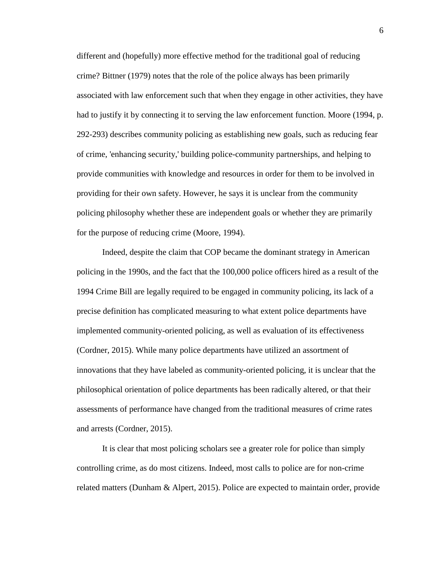different and (hopefully) more effective method for the traditional goal of reducing crime? Bittner (1979) notes that the role of the police always has been primarily associated with law enforcement such that when they engage in other activities, they have had to justify it by connecting it to serving the law enforcement function. Moore (1994, p. 292-293) describes community policing as establishing new goals, such as reducing fear of crime, 'enhancing security,' building police-community partnerships, and helping to provide communities with knowledge and resources in order for them to be involved in providing for their own safety. However, he says it is unclear from the community policing philosophy whether these are independent goals or whether they are primarily for the purpose of reducing crime (Moore, 1994).

Indeed, despite the claim that COP became the dominant strategy in American policing in the 1990s, and the fact that the 100,000 police officers hired as a result of the 1994 Crime Bill are legally required to be engaged in community policing, its lack of a precise definition has complicated measuring to what extent police departments have implemented community-oriented policing, as well as evaluation of its effectiveness (Cordner, 2015). While many police departments have utilized an assortment of innovations that they have labeled as community-oriented policing, it is unclear that the philosophical orientation of police departments has been radically altered, or that their assessments of performance have changed from the traditional measures of crime rates and arrests (Cordner, 2015).

It is clear that most policing scholars see a greater role for police than simply controlling crime, as do most citizens. Indeed, most calls to police are for non-crime related matters (Dunham & Alpert, 2015). Police are expected to maintain order, provide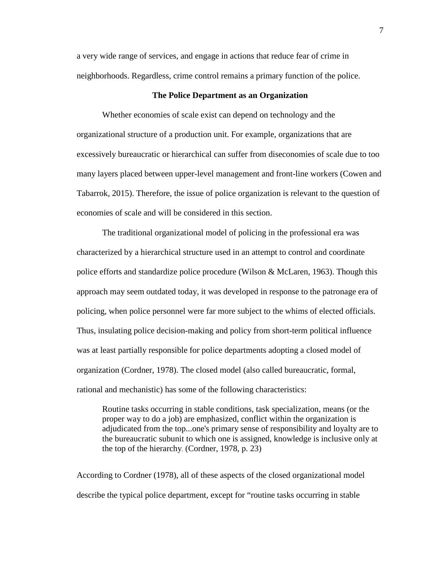a very wide range of services, and engage in actions that reduce fear of crime in neighborhoods. Regardless, crime control remains a primary function of the police.

#### **The Police Department as an Organization**

<span id="page-16-0"></span>Whether economies of scale exist can depend on technology and the organizational structure of a production unit. For example, organizations that are excessively bureaucratic or hierarchical can suffer from diseconomies of scale due to too many layers placed between upper-level management and front-line workers (Cowen and Tabarrok, 2015). Therefore, the issue of police organization is relevant to the question of economies of scale and will be considered in this section.

The traditional organizational model of policing in the professional era was characterized by a hierarchical structure used in an attempt to control and coordinate police efforts and standardize police procedure (Wilson & McLaren, 1963). Though this approach may seem outdated today, it was developed in response to the patronage era of policing, when police personnel were far more subject to the whims of elected officials. Thus, insulating police decision-making and policy from short-term political influence was at least partially responsible for police departments adopting a closed model of organization (Cordner, 1978). The closed model (also called bureaucratic, formal, rational and mechanistic) has some of the following characteristics:

Routine tasks occurring in stable conditions, task specialization, means (or the proper way to do a job) are emphasized, conflict within the organization is adjudicated from the top...one's primary sense of responsibility and loyalty are to the bureaucratic subunit to which one is assigned, knowledge is inclusive only at the top of the hierarchy. (Cordner, 1978, p. 23)

According to Cordner (1978), all of these aspects of the closed organizational model describe the typical police department, except for "routine tasks occurring in stable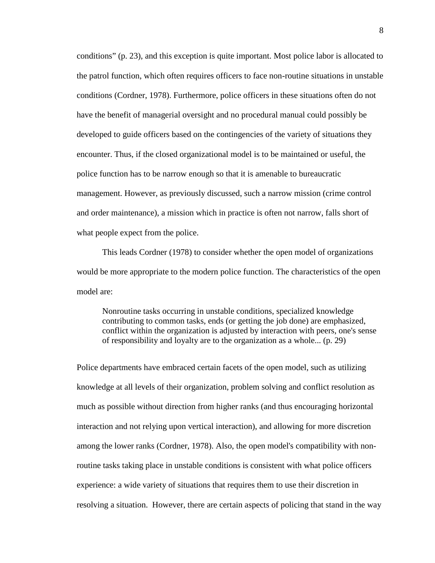conditions" (p. 23), and this exception is quite important. Most police labor is allocated to the patrol function, which often requires officers to face non-routine situations in unstable conditions (Cordner, 1978). Furthermore, police officers in these situations often do not have the benefit of managerial oversight and no procedural manual could possibly be developed to guide officers based on the contingencies of the variety of situations they encounter. Thus, if the closed organizational model is to be maintained or useful, the police function has to be narrow enough so that it is amenable to bureaucratic management. However, as previously discussed, such a narrow mission (crime control and order maintenance), a mission which in practice is often not narrow, falls short of what people expect from the police.

This leads Cordner (1978) to consider whether the open model of organizations would be more appropriate to the modern police function. The characteristics of the open model are:

Nonroutine tasks occurring in unstable conditions, specialized knowledge contributing to common tasks, ends (or getting the job done) are emphasized, conflict within the organization is adjusted by interaction with peers, one's sense of responsibility and loyalty are to the organization as a whole... (p. 29)

Police departments have embraced certain facets of the open model, such as utilizing knowledge at all levels of their organization, problem solving and conflict resolution as much as possible without direction from higher ranks (and thus encouraging horizontal interaction and not relying upon vertical interaction), and allowing for more discretion among the lower ranks (Cordner, 1978). Also, the open model's compatibility with nonroutine tasks taking place in unstable conditions is consistent with what police officers experience: a wide variety of situations that requires them to use their discretion in resolving a situation. However, there are certain aspects of policing that stand in the way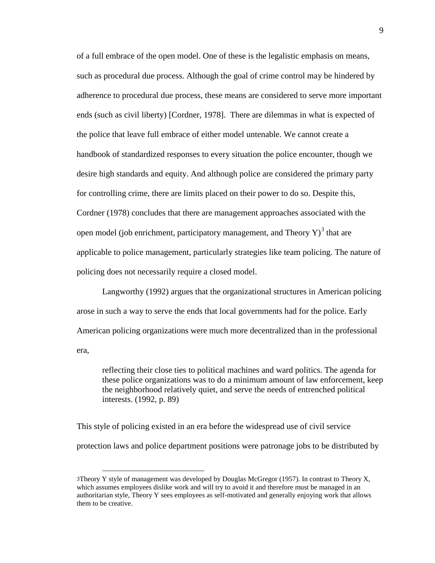of a full embrace of the open model. One of these is the legalistic emphasis on means, such as procedural due process. Although the goal of crime control may be hindered by adherence to procedural due process, these means are considered to serve more important ends (such as civil liberty) [Cordner, 1978]. There are dilemmas in what is expected of the police that leave full embrace of either model untenable. We cannot create a handbook of standardized responses to every situation the police encounter, though we desire high standards and equity. And although police are considered the primary party for controlling crime, there are limits placed on their power to do so. Despite this, Cordner (1978) concludes that there are management approaches associated with the open model (job enrichment, participatory management, and Theory  $Y$ )<sup>[3](#page-18-0)</sup> that are applicable to police management, particularly strategies like team policing. The nature of policing does not necessarily require a closed model.

Langworthy (1992) argues that the organizational structures in American policing arose in such a way to serve the ends that local governments had for the police. Early American policing organizations were much more decentralized than in the professional era,

reflecting their close ties to political machines and ward politics. The agenda for these police organizations was to do a minimum amount of law enforcement, keep the neighborhood relatively quiet, and serve the needs of entrenched political interests. (1992, p. 89)

This style of policing existed in an era before the widespread use of civil service protection laws and police department positions were patronage jobs to be distributed by

<span id="page-18-0"></span> <sup>3</sup>Theory Y style of management was developed by Douglas McGregor (1957). In contrast to Theory X, which assumes employees dislike work and will try to avoid it and therefore must be managed in an authoritarian style, Theory Y sees employees as self-motivated and generally enjoying work that allows them to be creative.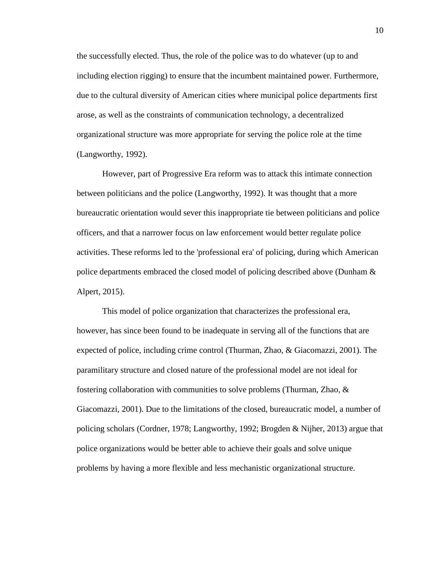the successfully elected. Thus, the role of the police was to do whatever (up to and including election rigging) to ensure that the incumbent maintained power. Furthermore, due to the cultural diversity of American cities where municipal police departments first arose, as well as the constraints of communication technology, a decentralized organizational structure was more appropriate for serving the police role at the time (Langworthy, 1992).

However, part of Progressive Era reform was to attack this intimate connection between politicians and the police (Langworthy, 1992). It was thought that a more bureaucratic orientation would sever this inappropriate tie between politicians and police officers, and that a narrower focus on law enforcement would better regulate police activities. These reforms led to the 'professional era' of policing, during which American police departments embraced the closed model of policing described above (Dunham & Alpert, 2015).

This model of police organization that characterizes the professional era, however, has since been found to be inadequate in serving all of the functions that are expected of police, including crime control (Thurman, Zhao, & Giacomazzi, 2001). The paramilitary structure and closed nature of the professional model are not ideal for fostering collaboration with communities to solve problems (Thurman, Zhao, & Giacomazzi, 2001). Due to the limitations of the closed, bureaucratic model, a number of policing scholars (Cordner, 1978; Langworthy, 1992; Brogden & Nijher, 2013) argue that police organizations would be better able to achieve their goals and solve unique problems by having a more flexible and less mechanistic organizational structure.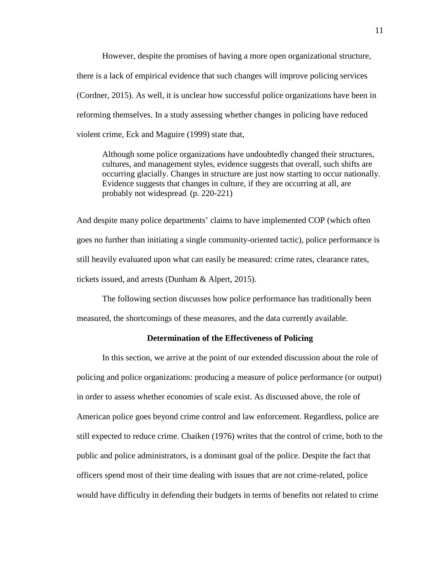However, despite the promises of having a more open organizational structure, there is a lack of empirical evidence that such changes will improve policing services (Cordner, 2015). As well, it is unclear how successful police organizations have been in reforming themselves. In a study assessing whether changes in policing have reduced violent crime, Eck and Maguire (1999) state that,

Although some police organizations have undoubtedly changed their structures, cultures, and management styles, evidence suggests that overall, such shifts are occurring glacially. Changes in structure are just now starting to occur nationally. Evidence suggests that changes in culture, if they are occurring at all, are probably not widespread. (p. 220-221)

And despite many police departments' claims to have implemented COP (which often goes no further than initiating a single community-oriented tactic), police performance is still heavily evaluated upon what can easily be measured: crime rates, clearance rates, tickets issued, and arrests (Dunham & Alpert, 2015).

The following section discusses how police performance has traditionally been measured, the shortcomings of these measures, and the data currently available.

#### **Determination of the Effectiveness of Policing**

<span id="page-20-0"></span>In this section, we arrive at the point of our extended discussion about the role of policing and police organizations: producing a measure of police performance (or output) in order to assess whether economies of scale exist. As discussed above, the role of American police goes beyond crime control and law enforcement. Regardless, police are still expected to reduce crime. Chaiken (1976) writes that the control of crime, both to the public and police administrators, is a dominant goal of the police. Despite the fact that officers spend most of their time dealing with issues that are not crime-related, police would have difficulty in defending their budgets in terms of benefits not related to crime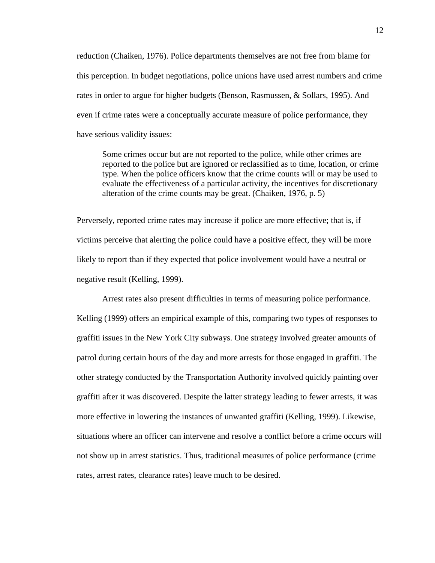reduction (Chaiken, 1976). Police departments themselves are not free from blame for this perception. In budget negotiations, police unions have used arrest numbers and crime rates in order to argue for higher budgets (Benson, Rasmussen, & Sollars, 1995). And even if crime rates were a conceptually accurate measure of police performance, they have serious validity issues:

Some crimes occur but are not reported to the police, while other crimes are reported to the police but are ignored or reclassified as to time, location, or crime type. When the police officers know that the crime counts will or may be used to evaluate the effectiveness of a particular activity, the incentives for discretionary alteration of the crime counts may be great. (Chaiken, 1976, p. 5)

Perversely, reported crime rates may increase if police are more effective; that is, if victims perceive that alerting the police could have a positive effect, they will be more likely to report than if they expected that police involvement would have a neutral or negative result (Kelling, 1999).

Arrest rates also present difficulties in terms of measuring police performance. Kelling (1999) offers an empirical example of this, comparing two types of responses to graffiti issues in the New York City subways. One strategy involved greater amounts of patrol during certain hours of the day and more arrests for those engaged in graffiti. The other strategy conducted by the Transportation Authority involved quickly painting over graffiti after it was discovered. Despite the latter strategy leading to fewer arrests, it was more effective in lowering the instances of unwanted graffiti (Kelling, 1999). Likewise, situations where an officer can intervene and resolve a conflict before a crime occurs will not show up in arrest statistics. Thus, traditional measures of police performance (crime rates, arrest rates, clearance rates) leave much to be desired.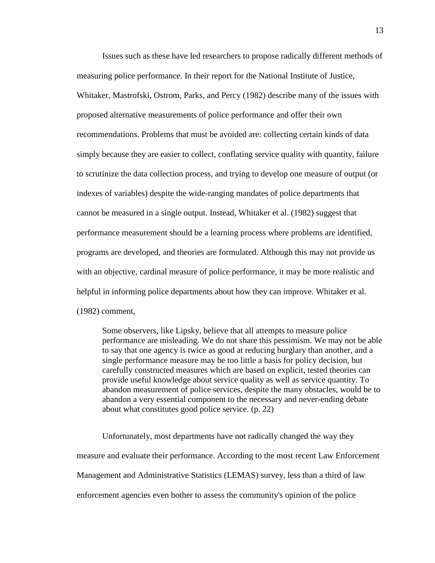Issues such as these have led researchers to propose radically different methods of measuring police performance. In their report for the National Institute of Justice, Whitaker, Mastrofski, Ostrom, Parks, and Percy (1982) describe many of the issues with proposed alternative measurements of police performance and offer their own recommendations. Problems that must be avoided are: collecting certain kinds of data simply because they are easier to collect, conflating service quality with quantity, failure to scrutinize the data collection process, and trying to develop one measure of output (or indexes of variables) despite the wide-ranging mandates of police departments that cannot be measured in a single output. Instead, Whitaker et al. (1982) suggest that performance measurement should be a learning process where problems are identified, programs are developed, and theories are formulated. Although this may not provide us with an objective, cardinal measure of police performance, it may be more realistic and helpful in informing police departments about how they can improve. Whitaker et al. (1982) comment,

Some observers, like Lipsky, believe that all attempts to measure police performance are misleading. We do not share this pessimism. We may not be able to say that one agency is twice as good at reducing burglary than another, and a single performance measure may be too little a basis for policy decision, but carefully constructed measures which are based on explicit, tested theories can provide useful knowledge about service quality as well as service quantity. To abandon measurement of police services, despite the many obstacles, would be to abandon a very essential component to the necessary and never-ending debate about what constitutes good police service. (p. 22)

Unfortunately, most departments have not radically changed the way they measure and evaluate their performance. According to the most recent Law Enforcement Management and Administrative Statistics (LEMAS) survey, less than a third of law enforcement agencies even bother to assess the community's opinion of the police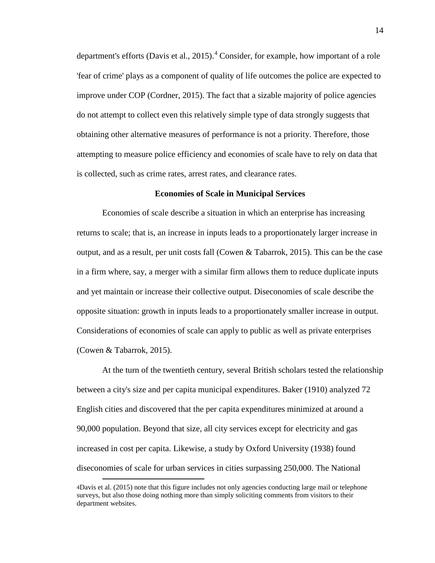department's efforts (Davis et al., 2015).<sup>[4](#page-23-1)</sup> Consider, for example, how important of a role 'fear of crime' plays as a component of quality of life outcomes the police are expected to improve under COP (Cordner, 2015). The fact that a sizable majority of police agencies do not attempt to collect even this relatively simple type of data strongly suggests that obtaining other alternative measures of performance is not a priority. Therefore, those attempting to measure police efficiency and economies of scale have to rely on data that is collected, such as crime rates, arrest rates, and clearance rates.

#### **Economies of Scale in Municipal Services**

<span id="page-23-0"></span>Economies of scale describe a situation in which an enterprise has increasing returns to scale; that is, an increase in inputs leads to a proportionately larger increase in output, and as a result, per unit costs fall (Cowen & Tabarrok, 2015). This can be the case in a firm where, say, a merger with a similar firm allows them to reduce duplicate inputs and yet maintain or increase their collective output. Diseconomies of scale describe the opposite situation: growth in inputs leads to a proportionately smaller increase in output. Considerations of economies of scale can apply to public as well as private enterprises (Cowen & Tabarrok, 2015).

At the turn of the twentieth century, several British scholars tested the relationship between a city's size and per capita municipal expenditures. Baker (1910) analyzed 72 English cities and discovered that the per capita expenditures minimized at around a 90,000 population. Beyond that size, all city services except for electricity and gas increased in cost per capita. Likewise, a study by Oxford University (1938) found diseconomies of scale for urban services in cities surpassing 250,000. The National

<span id="page-23-1"></span> <sup>4</sup>Davis et al. (2015) note that this figure includes not only agencies conducting large mail or telephone surveys, but also those doing nothing more than simply soliciting comments from visitors to their department websites.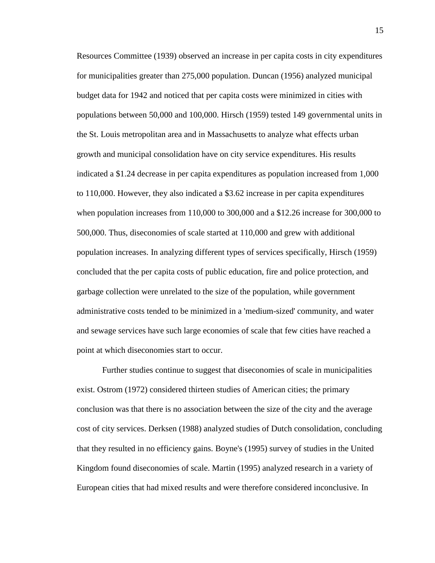Resources Committee (1939) observed an increase in per capita costs in city expenditures for municipalities greater than 275,000 population. Duncan (1956) analyzed municipal budget data for 1942 and noticed that per capita costs were minimized in cities with populations between 50,000 and 100,000. Hirsch (1959) tested 149 governmental units in the St. Louis metropolitan area and in Massachusetts to analyze what effects urban growth and municipal consolidation have on city service expenditures. His results indicated a \$1.24 decrease in per capita expenditures as population increased from 1,000 to 110,000. However, they also indicated a \$3.62 increase in per capita expenditures when population increases from 110,000 to 300,000 and a \$12.26 increase for 300,000 to 500,000. Thus, diseconomies of scale started at 110,000 and grew with additional population increases. In analyzing different types of services specifically, Hirsch (1959) concluded that the per capita costs of public education, fire and police protection, and garbage collection were unrelated to the size of the population, while government administrative costs tended to be minimized in a 'medium-sized' community, and water and sewage services have such large economies of scale that few cities have reached a point at which diseconomies start to occur.

Further studies continue to suggest that diseconomies of scale in municipalities exist. Ostrom (1972) considered thirteen studies of American cities; the primary conclusion was that there is no association between the size of the city and the average cost of city services. Derksen (1988) analyzed studies of Dutch consolidation, concluding that they resulted in no efficiency gains. Boyne's (1995) survey of studies in the United Kingdom found diseconomies of scale. Martin (1995) analyzed research in a variety of European cities that had mixed results and were therefore considered inconclusive. In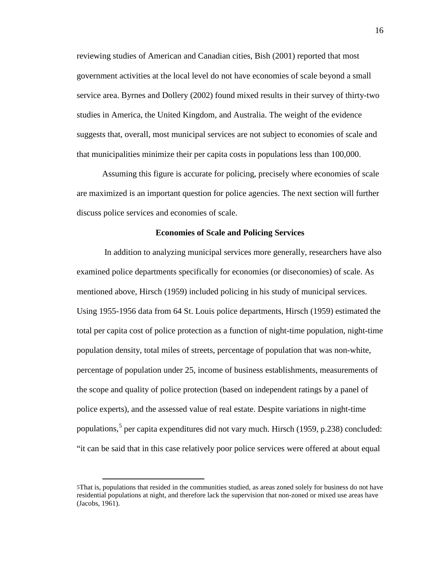reviewing studies of American and Canadian cities, Bish (2001) reported that most government activities at the local level do not have economies of scale beyond a small service area. Byrnes and Dollery (2002) found mixed results in their survey of thirty-two studies in America, the United Kingdom, and Australia. The weight of the evidence suggests that, overall, most municipal services are not subject to economies of scale and that municipalities minimize their per capita costs in populations less than 100,000.

Assuming this figure is accurate for policing, precisely where economies of scale are maximized is an important question for police agencies. The next section will further discuss police services and economies of scale.

### **Economies of Scale and Policing Services**

<span id="page-25-0"></span>In addition to analyzing municipal services more generally, researchers have also examined police departments specifically for economies (or diseconomies) of scale. As mentioned above, Hirsch (1959) included policing in his study of municipal services. Using 1955-1956 data from 64 St. Louis police departments, Hirsch (1959) estimated the total per capita cost of police protection as a function of night-time population, night-time population density, total miles of streets, percentage of population that was non-white, percentage of population under 25, income of business establishments, measurements of the scope and quality of police protection (based on independent ratings by a panel of police experts), and the assessed value of real estate. Despite variations in night-time populations, [5](#page-25-1) per capita expenditures did not vary much. Hirsch (1959, p.238) concluded: "it can be said that in this case relatively poor police services were offered at about equal

<span id="page-25-1"></span> <sup>5</sup>That is, populations that resided in the communities studied, as areas zoned solely for business do not have residential populations at night, and therefore lack the supervision that non-zoned or mixed use areas have (Jacobs, 1961).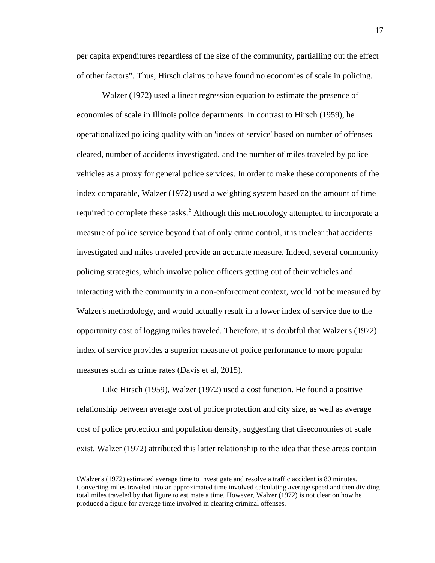per capita expenditures regardless of the size of the community, partialling out the effect of other factors". Thus, Hirsch claims to have found no economies of scale in policing.

Walzer (1972) used a linear regression equation to estimate the presence of economies of scale in Illinois police departments. In contrast to Hirsch (1959), he operationalized policing quality with an 'index of service' based on number of offenses cleared, number of accidents investigated, and the number of miles traveled by police vehicles as a proxy for general police services. In order to make these components of the index comparable, Walzer (1972) used a weighting system based on the amount of time required to complete these tasks.<sup>[6](#page-26-0)</sup> Although this methodology attempted to incorporate a measure of police service beyond that of only crime control, it is unclear that accidents investigated and miles traveled provide an accurate measure. Indeed, several community policing strategies, which involve police officers getting out of their vehicles and interacting with the community in a non-enforcement context, would not be measured by Walzer's methodology, and would actually result in a lower index of service due to the opportunity cost of logging miles traveled. Therefore, it is doubtful that Walzer's (1972) index of service provides a superior measure of police performance to more popular measures such as crime rates (Davis et al, 2015).

Like Hirsch (1959), Walzer (1972) used a cost function. He found a positive relationship between average cost of police protection and city size, as well as average cost of police protection and population density, suggesting that diseconomies of scale exist. Walzer (1972) attributed this latter relationship to the idea that these areas contain

<span id="page-26-0"></span> <sup>6</sup>Walzer's (1972) estimated average time to investigate and resolve a traffic accident is 80 minutes. Converting miles traveled into an approximated time involved calculating average speed and then dividing total miles traveled by that figure to estimate a time. However, Walzer (1972) is not clear on how he produced a figure for average time involved in clearing criminal offenses.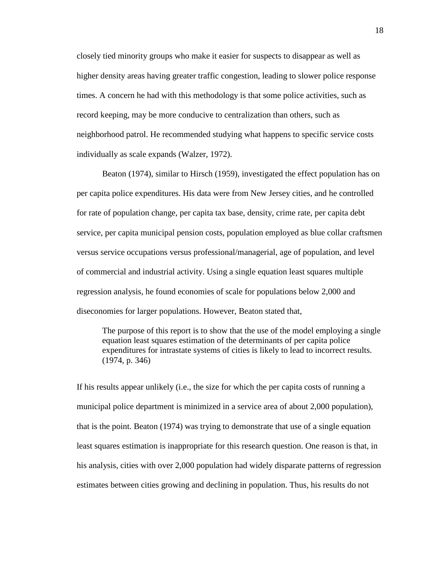closely tied minority groups who make it easier for suspects to disappear as well as higher density areas having greater traffic congestion, leading to slower police response times. A concern he had with this methodology is that some police activities, such as record keeping, may be more conducive to centralization than others, such as neighborhood patrol. He recommended studying what happens to specific service costs individually as scale expands (Walzer, 1972).

Beaton (1974), similar to Hirsch (1959), investigated the effect population has on per capita police expenditures. His data were from New Jersey cities, and he controlled for rate of population change, per capita tax base, density, crime rate, per capita debt service, per capita municipal pension costs, population employed as blue collar craftsmen versus service occupations versus professional/managerial, age of population, and level of commercial and industrial activity. Using a single equation least squares multiple regression analysis, he found economies of scale for populations below 2,000 and diseconomies for larger populations. However, Beaton stated that,

The purpose of this report is to show that the use of the model employing a single equation least squares estimation of the determinants of per capita police expenditures for intrastate systems of cities is likely to lead to incorrect results. (1974, p. 346)

If his results appear unlikely (i.e., the size for which the per capita costs of running a municipal police department is minimized in a service area of about 2,000 population), that is the point. Beaton (1974) was trying to demonstrate that use of a single equation least squares estimation is inappropriate for this research question. One reason is that, in his analysis, cities with over 2,000 population had widely disparate patterns of regression estimates between cities growing and declining in population. Thus, his results do not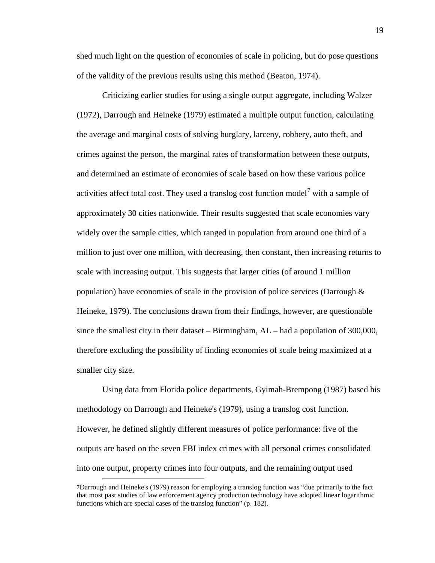shed much light on the question of economies of scale in policing, but do pose questions of the validity of the previous results using this method (Beaton, 1974).

Criticizing earlier studies for using a single output aggregate, including Walzer (1972), Darrough and Heineke (1979) estimated a multiple output function, calculating the average and marginal costs of solving burglary, larceny, robbery, auto theft, and crimes against the person, the marginal rates of transformation between these outputs, and determined an estimate of economies of scale based on how these various police activities affect total cost. They used a translog cost function model<sup>[7](#page-28-0)</sup> with a sample of approximately 30 cities nationwide. Their results suggested that scale economies vary widely over the sample cities, which ranged in population from around one third of a million to just over one million, with decreasing, then constant, then increasing returns to scale with increasing output. This suggests that larger cities (of around 1 million population) have economies of scale in the provision of police services (Darrough  $\&$ Heineke, 1979). The conclusions drawn from their findings, however, are questionable since the smallest city in their dataset – Birmingham, AL – had a population of 300,000, therefore excluding the possibility of finding economies of scale being maximized at a smaller city size.

Using data from Florida police departments, Gyimah-Brempong (1987) based his methodology on Darrough and Heineke's (1979), using a translog cost function. However, he defined slightly different measures of police performance: five of the outputs are based on the seven FBI index crimes with all personal crimes consolidated into one output, property crimes into four outputs, and the remaining output used

<span id="page-28-0"></span> <sup>7</sup>Darrough and Heineke's (1979) reason for employing a translog function was "due primarily to the fact that most past studies of law enforcement agency production technology have adopted linear logarithmic functions which are special cases of the translog function" (p. 182).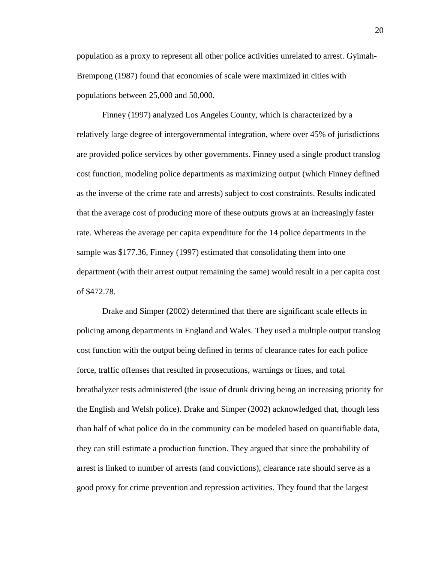population as a proxy to represent all other police activities unrelated to arrest. Gyimah-Brempong (1987) found that economies of scale were maximized in cities with populations between 25,000 and 50,000.

Finney (1997) analyzed Los Angeles County, which is characterized by a relatively large degree of intergovernmental integration, where over 45% of jurisdictions are provided police services by other governments. Finney used a single product translog cost function, modeling police departments as maximizing output (which Finney defined as the inverse of the crime rate and arrests) subject to cost constraints. Results indicated that the average cost of producing more of these outputs grows at an increasingly faster rate. Whereas the average per capita expenditure for the 14 police departments in the sample was \$177.36, Finney (1997) estimated that consolidating them into one department (with their arrest output remaining the same) would result in a per capita cost of \$472.78.

Drake and Simper (2002) determined that there are significant scale effects in policing among departments in England and Wales. They used a multiple output translog cost function with the output being defined in terms of clearance rates for each police force, traffic offenses that resulted in prosecutions, warnings or fines, and total breathalyzer tests administered (the issue of drunk driving being an increasing priority for the English and Welsh police). Drake and Simper (2002) acknowledged that, though less than half of what police do in the community can be modeled based on quantifiable data, they can still estimate a production function. They argued that since the probability of arrest is linked to number of arrests (and convictions), clearance rate should serve as a good proxy for crime prevention and repression activities. They found that the largest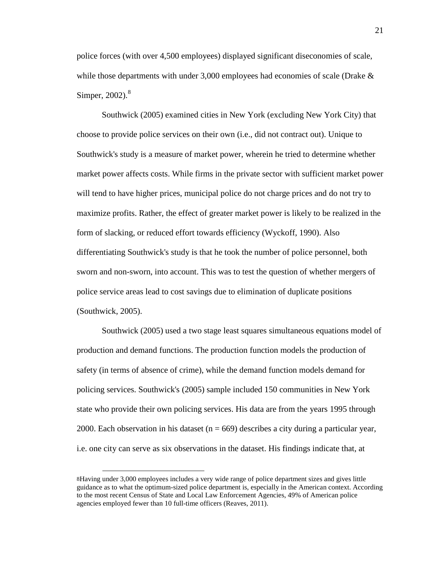police forces (with over 4,500 employees) displayed significant diseconomies of scale, while those departments with under 3,000 employees had economies of scale (Drake  $\&$ Simper,  $2002$ ). $8$ 

Southwick (2005) examined cities in New York (excluding New York City) that choose to provide police services on their own (i.e., did not contract out). Unique to Southwick's study is a measure of market power, wherein he tried to determine whether market power affects costs. While firms in the private sector with sufficient market power will tend to have higher prices, municipal police do not charge prices and do not try to maximize profits. Rather, the effect of greater market power is likely to be realized in the form of slacking, or reduced effort towards efficiency (Wyckoff, 1990). Also differentiating Southwick's study is that he took the number of police personnel, both sworn and non-sworn, into account. This was to test the question of whether mergers of police service areas lead to cost savings due to elimination of duplicate positions (Southwick, 2005).

Southwick (2005) used a two stage least squares simultaneous equations model of production and demand functions. The production function models the production of safety (in terms of absence of crime), while the demand function models demand for policing services. Southwick's (2005) sample included 150 communities in New York state who provide their own policing services. His data are from the years 1995 through 2000. Each observation in his dataset ( $n = 669$ ) describes a city during a particular year, i.e. one city can serve as six observations in the dataset. His findings indicate that, at

<span id="page-30-0"></span> <sup>8</sup>Having under 3,000 employees includes a very wide range of police department sizes and gives little guidance as to what the optimum-sized police department is, especially in the American context. According to the most recent Census of State and Local Law Enforcement Agencies, 49% of American police agencies employed fewer than 10 full-time officers (Reaves, 2011).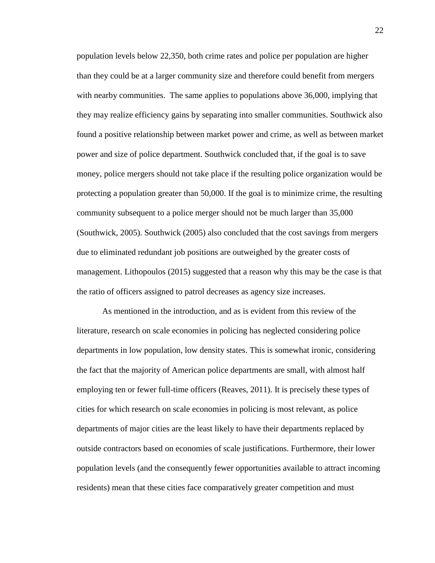population levels below 22,350, both crime rates and police per population are higher than they could be at a larger community size and therefore could benefit from mergers with nearby communities. The same applies to populations above 36,000, implying that they may realize efficiency gains by separating into smaller communities. Southwick also found a positive relationship between market power and crime, as well as between market power and size of police department. Southwick concluded that, if the goal is to save money, police mergers should not take place if the resulting police organization would be protecting a population greater than 50,000. If the goal is to minimize crime, the resulting community subsequent to a police merger should not be much larger than 35,000 (Southwick, 2005). Southwick (2005) also concluded that the cost savings from mergers due to eliminated redundant job positions are outweighed by the greater costs of management. Lithopoulos (2015) suggested that a reason why this may be the case is that the ratio of officers assigned to patrol decreases as agency size increases.

As mentioned in the introduction, and as is evident from this review of the literature, research on scale economies in policing has neglected considering police departments in low population, low density states. This is somewhat ironic, considering the fact that the majority of American police departments are small, with almost half employing ten or fewer full-time officers (Reaves, 2011). It is precisely these types of cities for which research on scale economies in policing is most relevant, as police departments of major cities are the least likely to have their departments replaced by outside contractors based on economies of scale justifications. Furthermore, their lower population levels (and the consequently fewer opportunities available to attract incoming residents) mean that these cities face comparatively greater competition and must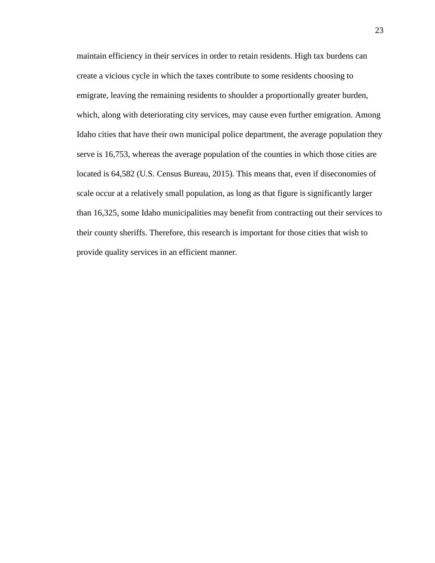maintain efficiency in their services in order to retain residents. High tax burdens can create a vicious cycle in which the taxes contribute to some residents choosing to emigrate, leaving the remaining residents to shoulder a proportionally greater burden, which, along with deteriorating city services, may cause even further emigration. Among Idaho cities that have their own municipal police department, the average population they serve is 16,753, whereas the average population of the counties in which those cities are located is 64,582 (U.S. Census Bureau, 2015). This means that, even if diseconomies of scale occur at a relatively small population, as long as that figure is significantly larger than 16,325, some Idaho municipalities may benefit from contracting out their services to their county sheriffs. Therefore, this research is important for those cities that wish to provide quality services in an efficient manner.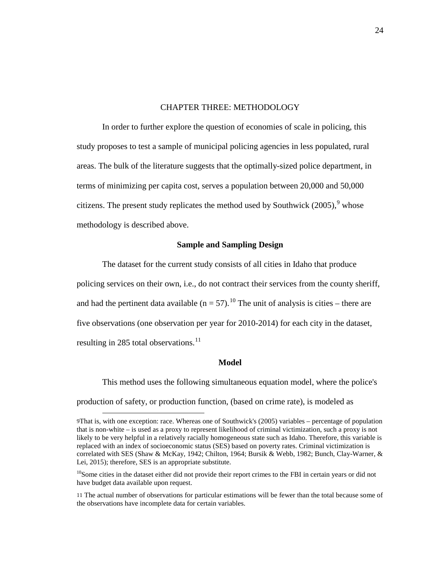### CHAPTER THREE: METHODOLOGY

<span id="page-33-0"></span>In order to further explore the question of economies of scale in policing, this study proposes to test a sample of municipal policing agencies in less populated, rural areas. The bulk of the literature suggests that the optimally-sized police department, in terms of minimizing per capita cost, serves a population between 20,000 and 50,000 citizens. The present study replicates the method used by Southwick  $(2005)$ , whose methodology is described above.

### **Sample and Sampling Design**

<span id="page-33-1"></span>The dataset for the current study consists of all cities in Idaho that produce policing services on their own, i.e., do not contract their services from the county sheriff, and had the pertinent data available  $(n = 57)$ .<sup>[10](#page-33-4)</sup> The unit of analysis is cities – there are five observations (one observation per year for 2010-2014) for each city in the dataset, resulting in 285 total observations.<sup>[11](#page-33-5)</sup>

#### **Model**

<span id="page-33-2"></span>This method uses the following simultaneous equation model, where the police's production of safety, or production function, (based on crime rate), is modeled as

<span id="page-33-3"></span> <sup>9</sup>That is, with one exception: race. Whereas one of Southwick's (2005) variables – percentage of population that is non-white – is used as a proxy to represent likelihood of criminal victimization, such a proxy is not likely to be very helpful in a relatively racially homogeneous state such as Idaho. Therefore, this variable is replaced with an index of socioeconomic status (SES) based on poverty rates. Criminal victimization is correlated with SES (Shaw & McKay, 1942; Chilton, 1964; Bursik & Webb, 1982; Bunch, Clay-Warner, & Lei, 2015); therefore, SES is an appropriate substitute.

<span id="page-33-4"></span> $10$ Some cities in the dataset either did not provide their report crimes to the FBI in certain years or did not have budget data available upon request.

<span id="page-33-5"></span><sup>11</sup> The actual number of observations for particular estimations will be fewer than the total because some of the observations have incomplete data for certain variables.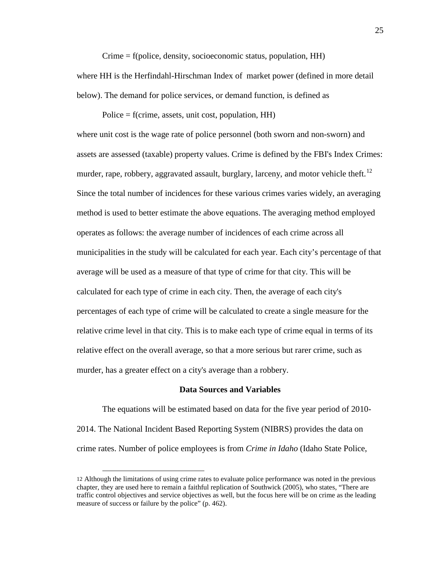Crime = f(police, density, socioeconomic status, population, HH) where HH is the Herfindahl-Hirschman Index of market power (defined in more detail below). The demand for police services, or demand function, is defined as

Police  $=$  f(crime, assets, unit cost, population, HH)

where unit cost is the wage rate of police personnel (both sworn and non-sworn) and assets are assessed (taxable) property values. Crime is defined by the FBI's Index Crimes: murder, rape, robbery, aggravated assault, burglary, larceny, and motor vehicle theft.<sup>[12](#page-34-1)</sup> Since the total number of incidences for these various crimes varies widely, an averaging method is used to better estimate the above equations. The averaging method employed operates as follows: the average number of incidences of each crime across all municipalities in the study will be calculated for each year. Each city's percentage of that average will be used as a measure of that type of crime for that city. This will be calculated for each type of crime in each city. Then, the average of each city's percentages of each type of crime will be calculated to create a single measure for the relative crime level in that city. This is to make each type of crime equal in terms of its relative effect on the overall average, so that a more serious but rarer crime, such as murder, has a greater effect on a city's average than a robbery.

#### **Data Sources and Variables**

<span id="page-34-0"></span>The equations will be estimated based on data for the five year period of 2010- 2014. The National Incident Based Reporting System (NIBRS) provides the data on crime rates. Number of police employees is from *Crime in Idaho* (Idaho State Police,

<span id="page-34-1"></span> <sup>12</sup> Although the limitations of using crime rates to evaluate police performance was noted in the previous chapter, they are used here to remain a faithful replication of Southwick (2005), who states, "There are traffic control objectives and service objectives as well, but the focus here will be on crime as the leading measure of success or failure by the police" (p. 462).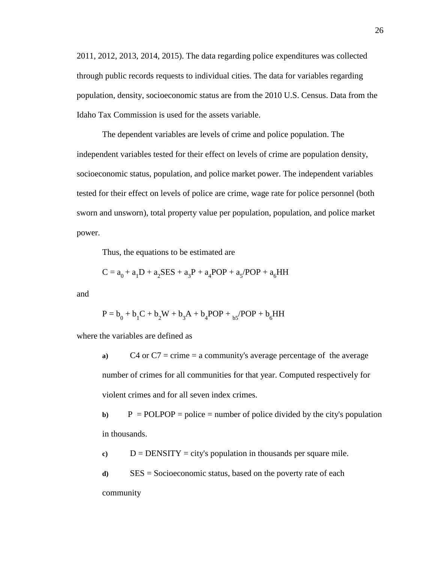2011, 2012, 2013, 2014, 2015). The data regarding police expenditures was collected through public records requests to individual cities. The data for variables regarding population, density, socioeconomic status are from the 2010 U.S. Census. Data from the Idaho Tax Commission is used for the assets variable.

The dependent variables are levels of crime and police population. The independent variables tested for their effect on levels of crime are population density, socioeconomic status, population, and police market power. The independent variables tested for their effect on levels of police are crime, wage rate for police personnel (both sworn and unsworn), total property value per population, population, and police market power.

Thus, the equations to be estimated are

$$
C = a_0 + a_1 D + a_2 SES + a_3 P + a_4 POP + a_5 / POP + a_6 HH
$$

and

$$
P = b_0 + b_1 C + b_2 W + b_3 A + b_4 POP + {}_{b5} / POP + b_6 HH
$$

where the variables are defined as

**a)** C4 or C7 = crime = a community's average percentage of the average number of crimes for all communities for that year. Computed respectively for violent crimes and for all seven index crimes.

**b**)  $P = \text{POLPOP} = \text{policy} = \text{number of police divided by the city's population}$ in thousands.

 $c)$  D = DENSITY = city's population in thousands per square mile.

**d)** SES = Socioeconomic status, based on the poverty rate of each community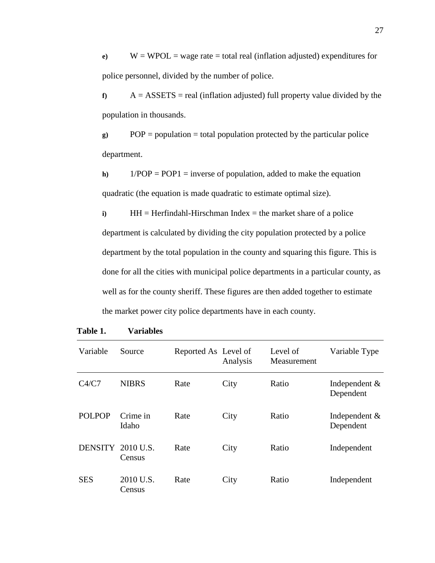**e**)  $W = WPOL = wage rate = total real (inflation adjusted) expenditures for$ police personnel, divided by the number of police.

 $f$   $A = ASSETS = real (inflation adjusted) full property value divided by the$ population in thousands.

**g)** POP = population = total population protected by the particular police department.

**h)** 1/POP = POP1 = inverse of population, added to make the equation quadratic (the equation is made quadratic to estimate optimal size).

**i)** HH = Herfindahl-Hirschman Index = the market share of a police department is calculated by dividing the city population protected by a police department by the total population in the county and squaring this figure. This is done for all the cities with municipal police departments in a particular county, as well as for the county sheriff. These figures are then added together to estimate the market power city police departments have in each county.

| Variable          | Source              | Reported As Level of | Analysis | Level of<br>Measurement | Variable Type                |
|-------------------|---------------------|----------------------|----------|-------------------------|------------------------------|
| C4/C7             | <b>NIBRS</b>        | Rate                 | City     | Ratio                   | Independent $&$<br>Dependent |
| <b>POLPOP</b>     | Crime in<br>Idaho   | Rate                 | City     | Ratio                   | Independent $&$<br>Dependent |
| DENSITY 2010 U.S. | Census              | Rate                 | City     | Ratio                   | Independent                  |
| <b>SES</b>        | 2010 U.S.<br>Census | Rate                 | City     | Ratio                   | Independent                  |

<span id="page-36-0"></span>**Table 1. Variables**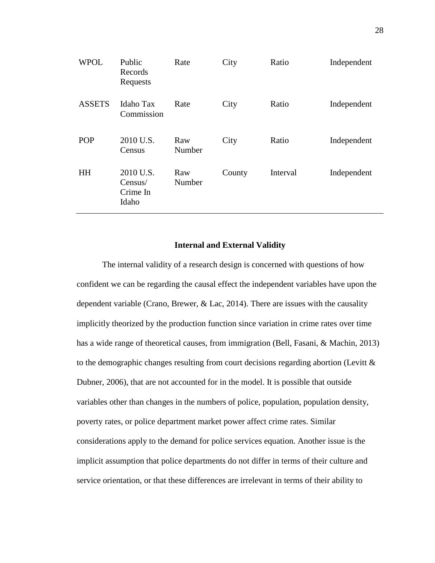| <b>WPOL</b>   | Public<br>Records<br>Requests             | Rate          | City   | Ratio    | Independent |
|---------------|-------------------------------------------|---------------|--------|----------|-------------|
| <b>ASSETS</b> | <b>Idaho Tax</b><br>Commission            | Rate          | City   | Ratio    | Independent |
| <b>POP</b>    | 2010 U.S.<br>Census                       | Raw<br>Number | City   | Ratio    | Independent |
| <b>HH</b>     | 2010 U.S.<br>Census/<br>Crime In<br>Idaho | Raw<br>Number | County | Interval | Independent |

### **Internal and External Validity**

<span id="page-37-0"></span>The internal validity of a research design is concerned with questions of how confident we can be regarding the causal effect the independent variables have upon the dependent variable (Crano, Brewer, & Lac, 2014). There are issues with the causality implicitly theorized by the production function since variation in crime rates over time has a wide range of theoretical causes, from immigration (Bell, Fasani, & Machin, 2013) to the demographic changes resulting from court decisions regarding abortion (Levitt & Dubner, 2006), that are not accounted for in the model. It is possible that outside variables other than changes in the numbers of police, population, population density, poverty rates, or police department market power affect crime rates. Similar considerations apply to the demand for police services equation. Another issue is the implicit assumption that police departments do not differ in terms of their culture and service orientation, or that these differences are irrelevant in terms of their ability to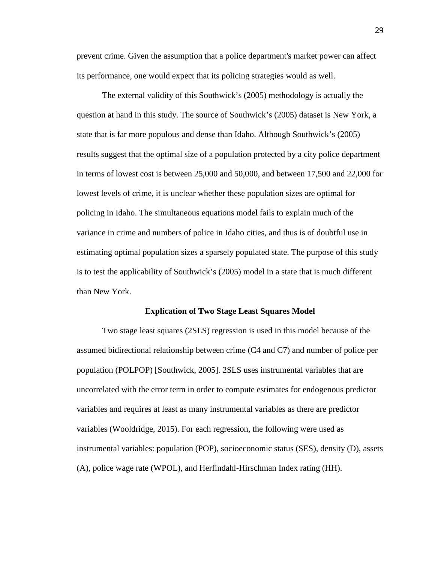prevent crime. Given the assumption that a police department's market power can affect its performance, one would expect that its policing strategies would as well.

The external validity of this Southwick's (2005) methodology is actually the question at hand in this study. The source of Southwick's (2005) dataset is New York, a state that is far more populous and dense than Idaho. Although Southwick's (2005) results suggest that the optimal size of a population protected by a city police department in terms of lowest cost is between 25,000 and 50,000, and between 17,500 and 22,000 for lowest levels of crime, it is unclear whether these population sizes are optimal for policing in Idaho. The simultaneous equations model fails to explain much of the variance in crime and numbers of police in Idaho cities, and thus is of doubtful use in estimating optimal population sizes a sparsely populated state. The purpose of this study is to test the applicability of Southwick's (2005) model in a state that is much different than New York.

#### **Explication of Two Stage Least Squares Model**

<span id="page-38-0"></span>Two stage least squares (2SLS) regression is used in this model because of the assumed bidirectional relationship between crime (C4 and C7) and number of police per population (POLPOP) [Southwick, 2005]. 2SLS uses instrumental variables that are uncorrelated with the error term in order to compute estimates for endogenous predictor variables and requires at least as many instrumental variables as there are predictor variables (Wooldridge, 2015). For each regression, the following were used as instrumental variables: population (POP), socioeconomic status (SES), density (D), assets (A), police wage rate (WPOL), and Herfindahl-Hirschman Index rating (HH).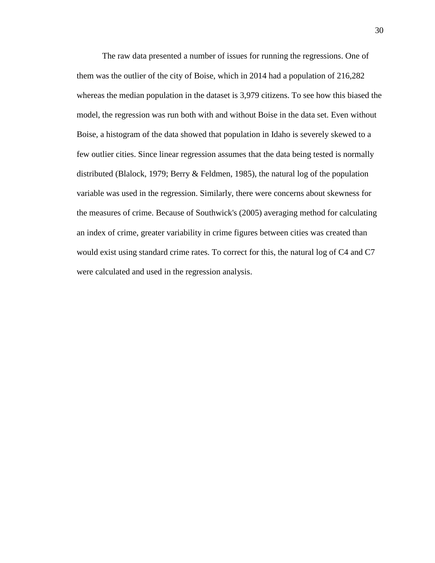The raw data presented a number of issues for running the regressions. One of them was the outlier of the city of Boise, which in 2014 had a population of 216,282 whereas the median population in the dataset is 3,979 citizens. To see how this biased the model, the regression was run both with and without Boise in the data set. Even without Boise, a histogram of the data showed that population in Idaho is severely skewed to a few outlier cities. Since linear regression assumes that the data being tested is normally distributed (Blalock, 1979; Berry & Feldmen, 1985), the natural log of the population variable was used in the regression. Similarly, there were concerns about skewness for the measures of crime. Because of Southwick's (2005) averaging method for calculating an index of crime, greater variability in crime figures between cities was created than would exist using standard crime rates. To correct for this, the natural log of C4 and C7 were calculated and used in the regression analysis.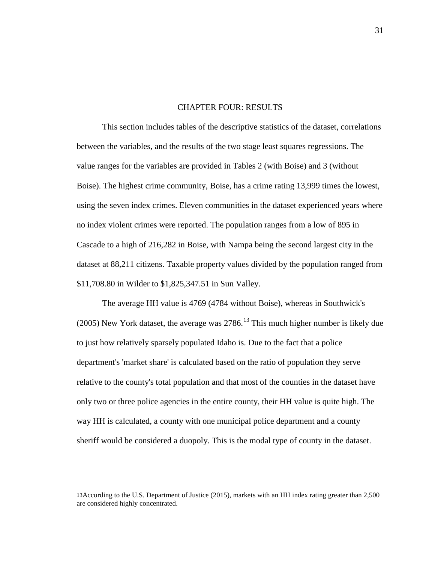#### CHAPTER FOUR: RESULTS

<span id="page-40-0"></span>This section includes tables of the descriptive statistics of the dataset, correlations between the variables, and the results of the two stage least squares regressions. The value ranges for the variables are provided in Tables 2 (with Boise) and 3 (without Boise). The highest crime community, Boise, has a crime rating 13,999 times the lowest, using the seven index crimes. Eleven communities in the dataset experienced years where no index violent crimes were reported. The population ranges from a low of 895 in Cascade to a high of 216,282 in Boise, with Nampa being the second largest city in the dataset at 88,211 citizens. Taxable property values divided by the population ranged from \$11,708.80 in Wilder to \$1,825,347.51 in Sun Valley.

The average HH value is 4769 (4784 without Boise), whereas in Southwick's (2005) New York dataset, the average was  $2786$ <sup>[13](#page-40-1)</sup> This much higher number is likely due to just how relatively sparsely populated Idaho is. Due to the fact that a police department's 'market share' is calculated based on the ratio of population they serve relative to the county's total population and that most of the counties in the dataset have only two or three police agencies in the entire county, their HH value is quite high. The way HH is calculated, a county with one municipal police department and a county sheriff would be considered a duopoly. This is the modal type of county in the dataset.

<span id="page-40-1"></span> <sup>13</sup>According to the U.S. Department of Justice (2015), markets with an HH index rating greater than 2,500 are considered highly concentrated.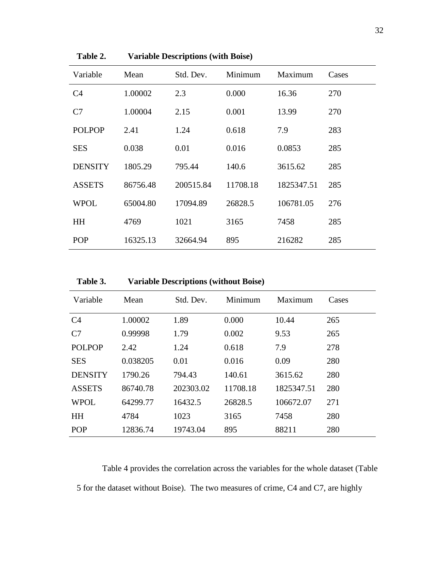| Variable       | Mean     | Std. Dev. | Minimum<br>Maximum |            | Cases |
|----------------|----------|-----------|--------------------|------------|-------|
| C <sub>4</sub> | 1.00002  | 2.3       | 0.000              | 16.36      | 270   |
| C7             | 1.00004  | 2.15      | 0.001              | 13.99      | 270   |
| <b>POLPOP</b>  | 2.41     | 1.24      | 0.618              | 7.9        | 283   |
| <b>SES</b>     | 0.038    | 0.01      | 0.016              | 0.0853     | 285   |
| <b>DENSITY</b> | 1805.29  | 795.44    | 140.6              | 3615.62    | 285   |
| <b>ASSETS</b>  | 86756.48 | 200515.84 | 11708.18           | 1825347.51 | 285   |
| <b>WPOL</b>    | 65004.80 | 17094.89  | 26828.5            | 106781.05  | 276   |
| <b>HH</b>      | 4769     | 1021      | 3165               | 7458       | 285   |
| <b>POP</b>     | 16325.13 | 32664.94  | 895                | 216282     | 285   |

<span id="page-41-0"></span>**Table 2. Variable Descriptions (with Boise)**

<span id="page-41-1"></span>

| Variable       | Mean     | Std. Dev. | Minimum  | Maximum    | Cases |
|----------------|----------|-----------|----------|------------|-------|
| C <sub>4</sub> | 1.00002  | 1.89      | 0.000    | 10.44      | 265   |
| C7             | 0.99998  | 1.79      | 0.002    | 9.53       | 265   |
| <b>POLPOP</b>  | 2.42     | 1.24      | 0.618    | 7.9        | 278   |
| <b>SES</b>     | 0.038205 | 0.01      | 0.016    | 0.09       | 280   |
| <b>DENSITY</b> | 1790.26  | 794.43    | 140.61   | 3615.62    | 280   |
| <b>ASSETS</b>  | 86740.78 | 202303.02 | 11708.18 | 1825347.51 | 280   |
| <b>WPOL</b>    | 64299.77 | 16432.5   | 26828.5  | 106672.07  | 271   |
| <b>HH</b>      | 4784     | 1023      | 3165     | 7458       | 280   |
| <b>POP</b>     | 12836.74 | 19743.04  | 895      | 88211      | 280   |

Table 4 provides the correlation across the variables for the whole dataset (Table 5 for the dataset without Boise). The two measures of crime, C4 and C7, are highly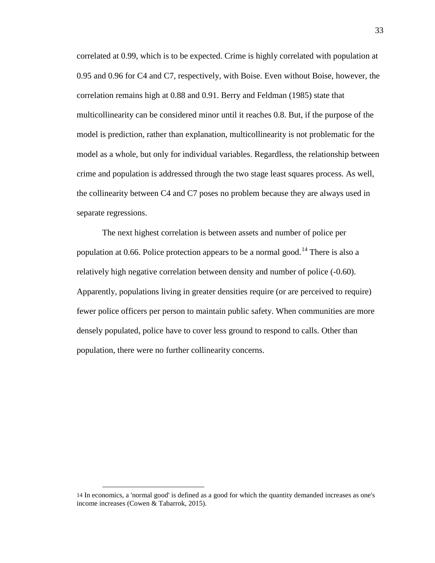correlated at 0.99, which is to be expected. Crime is highly correlated with population at 0.95 and 0.96 for C4 and C7, respectively, with Boise. Even without Boise, however, the correlation remains high at 0.88 and 0.91. Berry and Feldman (1985) state that multicollinearity can be considered minor until it reaches 0.8. But, if the purpose of the model is prediction, rather than explanation, multicollinearity is not problematic for the model as a whole, but only for individual variables. Regardless, the relationship between crime and population is addressed through the two stage least squares process. As well, the collinearity between C4 and C7 poses no problem because they are always used in separate regressions.

The next highest correlation is between assets and number of police per population at 0.66. Police protection appears to be a normal good.<sup>[14](#page-42-0)</sup> There is also a relatively high negative correlation between density and number of police (-0.60). Apparently, populations living in greater densities require (or are perceived to require) fewer police officers per person to maintain public safety. When communities are more densely populated, police have to cover less ground to respond to calls. Other than population, there were no further collinearity concerns.

<span id="page-42-0"></span> <sup>14</sup> In economics, a 'normal good' is defined as a good for which the quantity demanded increases as one's income increases (Cowen & Tabarrok, 2015).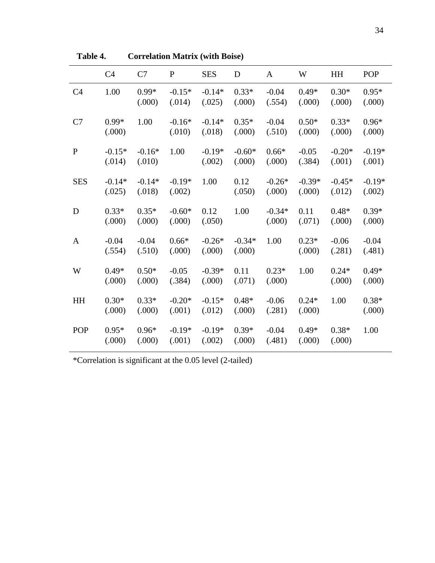|                | C <sub>4</sub>     | C7                 | ${\bf P}$          | <b>SES</b>         | D                  | $\mathbf{A}$       | W                  | HH                 | POP                |
|----------------|--------------------|--------------------|--------------------|--------------------|--------------------|--------------------|--------------------|--------------------|--------------------|
| C <sub>4</sub> | 1.00               | $0.99*$<br>(.000)  | $-0.15*$<br>(.014) | $-0.14*$<br>(.025) | $0.33*$<br>(.000)  | $-0.04$<br>(.554)  | $0.49*$<br>(.000)  | $0.30*$<br>(.000)  | $0.95*$<br>(.000)  |
| C7             | $0.99*$<br>(.000)  | 1.00               | $-0.16*$<br>(.010) | $-0.14*$<br>(.018) | $0.35*$<br>(.000)  | $-0.04$<br>(.510)  | $0.50*$<br>(.000)  | $0.33*$<br>(.000)  | $0.96*$<br>(.000)  |
| $\mathbf{P}$   | $-0.15*$<br>(.014) | $-0.16*$<br>(.010) | 1.00               | $-0.19*$<br>(.002) | $-0.60*$<br>(.000) | $0.66*$<br>(.000)  | $-0.05$<br>(.384)  | $-0.20*$<br>(.001) | $-0.19*$<br>(.001) |
| <b>SES</b>     | $-0.14*$<br>(.025) | $-0.14*$<br>(.018) | $-0.19*$<br>(.002) | 1.00               | 0.12<br>(.050)     | $-0.26*$<br>(.000) | $-0.39*$<br>(.000) | $-0.45*$<br>(.012) | $-0.19*$<br>(.002) |
| D              | $0.33*$<br>(.000)  | $0.35*$<br>(.000)  | $-0.60*$<br>(.000) | 0.12<br>(.050)     | 1.00               | $-0.34*$<br>(.000) | 0.11<br>(.071)     | $0.48*$<br>(.000)  | $0.39*$<br>(.000)  |
| $\mathbf{A}$   | $-0.04$<br>(.554)  | $-0.04$<br>(.510)  | $0.66*$<br>(.000)  | $-0.26*$<br>(.000) | $-0.34*$<br>(.000) | 1.00               | $0.23*$<br>(.000)  | $-0.06$<br>(.281)  | $-0.04$<br>(.481)  |
| W              | $0.49*$<br>(.000)  | $0.50*$<br>(.000)  | $-0.05$<br>(.384)  | $-0.39*$<br>(.000) | 0.11<br>(.071)     | $0.23*$<br>(.000)  | 1.00               | $0.24*$<br>(.000)  | $0.49*$<br>(.000)  |
| HH             | $0.30*$<br>(.000)  | $0.33*$<br>(.000)  | $-0.20*$<br>(.001) | $-0.15*$<br>(.012) | $0.48*$<br>(.000)  | $-0.06$<br>(.281)  | $0.24*$<br>(.000)  | 1.00               | $0.38*$<br>(.000)  |
| <b>POP</b>     | $0.95*$<br>(.000)  | $0.96*$<br>(.000)  | $-0.19*$<br>(.001) | $-0.19*$<br>(.002) | $0.39*$<br>(.000)  | $-0.04$<br>(.481)  | $0.49*$<br>(.000)  | $0.38*$<br>(.000)  | 1.00               |

<span id="page-43-0"></span>**Table 4. Correlation Matrix (with Boise)**

\*Correlation is significant at the 0.05 level (2-tailed)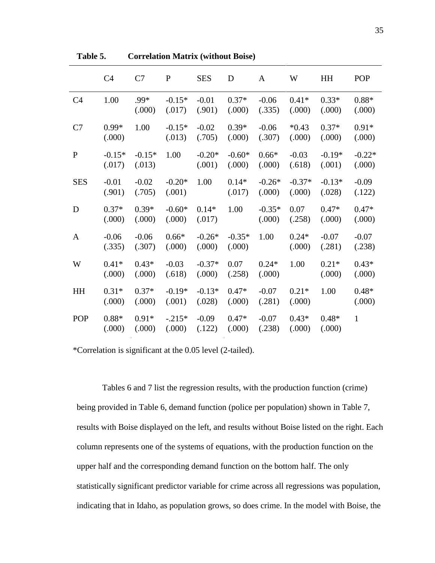|                | C <sub>4</sub>     | C7                 | ${\bf P}$          | <b>SES</b>         | D                  | $\mathbf{A}$       | W                  | HH                 | POP                |
|----------------|--------------------|--------------------|--------------------|--------------------|--------------------|--------------------|--------------------|--------------------|--------------------|
| C <sub>4</sub> | 1.00               | .99*<br>(.000)     | $-0.15*$<br>(.017) | $-0.01$<br>(.901)  | $0.37*$<br>(.000)  | $-0.06$<br>(.335)  | $0.41*$<br>(.000)  | $0.33*$<br>(.000)  | $0.88*$<br>(.000)  |
| C7             | $0.99*$<br>(.000)  | 1.00               | $-0.15*$<br>(.013) | $-0.02$<br>(.705)  | $0.39*$<br>(.000)  | $-0.06$<br>(.307)  | $*0.43$<br>(.000)  | $0.37*$<br>(.000)  | $0.91*$<br>(.000)  |
| $\mathbf{P}$   | $-0.15*$<br>(.017) | $-0.15*$<br>(.013) | 1.00               | $-0.20*$<br>(.001) | $-0.60*$<br>(.000) | $0.66*$<br>(.000)  | $-0.03$<br>(.618)  | $-0.19*$<br>(.001) | $-0.22*$<br>(.000) |
| <b>SES</b>     | $-0.01$<br>(.901)  | $-0.02$<br>(.705)  | $-0.20*$<br>(.001) | 1.00               | $0.14*$<br>(.017)  | $-0.26*$<br>(.000) | $-0.37*$<br>(.000) | $-0.13*$<br>(.028) | $-0.09$<br>(.122)  |
| D              | $0.37*$<br>(.000)  | $0.39*$<br>(.000)  | $-0.60*$<br>(.000) | $0.14*$<br>(.017)  | 1.00               | $-0.35*$<br>(.000) | 0.07<br>(.258)     | $0.47*$<br>(.000)  | $0.47*$<br>(.000)  |
| $\mathbf{A}$   | $-0.06$<br>(.335)  | $-0.06$<br>(.307)  | $0.66*$<br>(.000)  | $-0.26*$<br>(.000) | $-0.35*$<br>(.000) | 1.00               | $0.24*$<br>(.000)  | $-0.07$<br>(.281)  | $-0.07$<br>(.238)  |
| W              | $0.41*$<br>(.000)  | $0.43*$<br>(.000)  | $-0.03$<br>(.618)  | $-0.37*$<br>(.000) | 0.07<br>(.258)     | $0.24*$<br>(.000)  | 1.00               | $0.21*$<br>(.000)  | $0.43*$<br>(.000)  |
| HH             | $0.31*$<br>(.000)  | $0.37*$<br>(.000)  | $-0.19*$<br>(.001) | $-0.13*$<br>(.028) | $0.47*$<br>(.000)  | $-0.07$<br>(.281)  | $0.21*$<br>(.000)  | 1.00               | $0.48*$<br>(.000)  |
| POP            | $0.88*$<br>(.000)  | $0.91*$<br>(.000)  | $-.215*$<br>(.000) | $-0.09$<br>(.122)  | $0.47*$<br>(.000)  | $-0.07$<br>(.238)  | $0.43*$<br>(.000)  | $0.48*$<br>(.000)  | $\mathbf{1}$       |

<span id="page-44-0"></span>**Table 5. Correlation Matrix (without Boise)**

\*Correlation is significant at the 0.05 level (2-tailed).

Tables 6 and 7 list the regression results, with the production function (crime) being provided in Table 6, demand function (police per population) shown in Table 7, results with Boise displayed on the left, and results without Boise listed on the right. Each column represents one of the systems of equations, with the production function on the upper half and the corresponding demand function on the bottom half. The only statistically significant predictor variable for crime across all regressions was population, indicating that in Idaho, as population grows, so does crime. In the model with Boise, the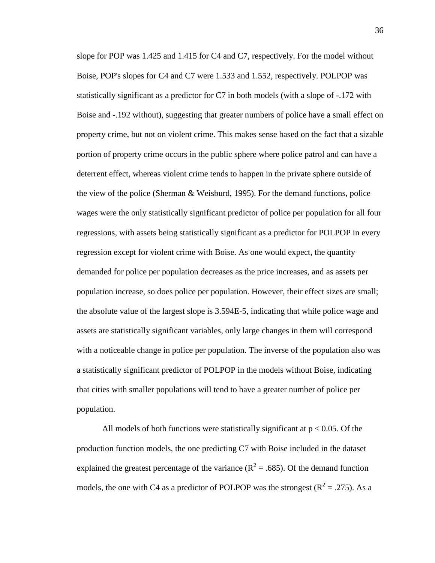slope for POP was 1.425 and 1.415 for C4 and C7, respectively. For the model without Boise, POP's slopes for C4 and C7 were 1.533 and 1.552, respectively. POLPOP was statistically significant as a predictor for C7 in both models (with a slope of -.172 with Boise and -.192 without), suggesting that greater numbers of police have a small effect on property crime, but not on violent crime. This makes sense based on the fact that a sizable portion of property crime occurs in the public sphere where police patrol and can have a deterrent effect, whereas violent crime tends to happen in the private sphere outside of the view of the police (Sherman & Weisburd, 1995). For the demand functions, police wages were the only statistically significant predictor of police per population for all four regressions, with assets being statistically significant as a predictor for POLPOP in every regression except for violent crime with Boise. As one would expect, the quantity demanded for police per population decreases as the price increases, and as assets per population increase, so does police per population. However, their effect sizes are small; the absolute value of the largest slope is 3.594E-5, indicating that while police wage and assets are statistically significant variables, only large changes in them will correspond with a noticeable change in police per population. The inverse of the population also was a statistically significant predictor of POLPOP in the models without Boise, indicating that cities with smaller populations will tend to have a greater number of police per population.

All models of both functions were statistically significant at  $p < 0.05$ . Of the production function models, the one predicting C7 with Boise included in the dataset explained the greatest percentage of the variance  $(R^2 = .685)$ . Of the demand function models, the one with C4 as a predictor of POLPOP was the strongest ( $\mathbb{R}^2 = .275$ ). As a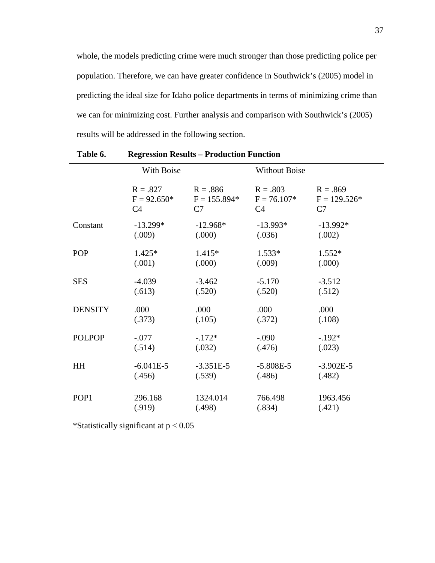whole, the models predicting crime were much stronger than those predicting police per population. Therefore, we can have greater confidence in Southwick's (2005) model in predicting the ideal size for Idaho police departments in terms of minimizing crime than we can for minimizing cost. Further analysis and comparison with Southwick's (2005) results will be addressed in the following section.

|                | With Boise     |                | <b>Without Boise</b> |                |
|----------------|----------------|----------------|----------------------|----------------|
|                | $R = .827$     | $R = .886$     | $R = .803$           | $R = .869$     |
|                | $F = 92.650*$  | $F = 155.894*$ | $F = 76.107*$        | $F = 129.526*$ |
|                | C <sub>4</sub> | C7             | C <sub>4</sub>       | C7             |
| Constant       | $-13.299*$     | $-12.968*$     | $-13.993*$           | $-13.992*$     |
|                | (.009)         | (.000)         | (.036)               | (.002)         |
| POP            | $1.425*$       | $1.415*$       | $1.533*$             | $1.552*$       |
|                | (.001)         | (.000)         | (.009)               | (.000)         |
| <b>SES</b>     | $-4.039$       | $-3.462$       | $-5.170$             | $-3.512$       |
|                | (.613)         | (.520)         | (.520)               | (.512)         |
| <b>DENSITY</b> | .000           | .000           | .000                 | .000           |
|                | (.373)         | (.105)         | (.372)               | (.108)         |
| <b>POLPOP</b>  | $-.077$        | $-172*$        | $-.090$              | $-.192*$       |
|                | (.514)         | (.032)         | (.476)               | (.023)         |
| HH             | $-6.041E-5$    | $-3.351E-5$    | $-5.808E-5$          | $-3.902E-5$    |
|                | (.456)         | (.539)         | (.486)               | (.482)         |
| POP1           | 296.168        | 1324.014       | 766.498              | 1963.456       |
|                | (.919)         | (.498)         | (.834)               | (.421)         |

<span id="page-46-0"></span>

| Table 6. | <b>Regression Results – Production Function</b> |  |  |  |
|----------|-------------------------------------------------|--|--|--|
|----------|-------------------------------------------------|--|--|--|

\*Statistically significant at  $p < 0.05$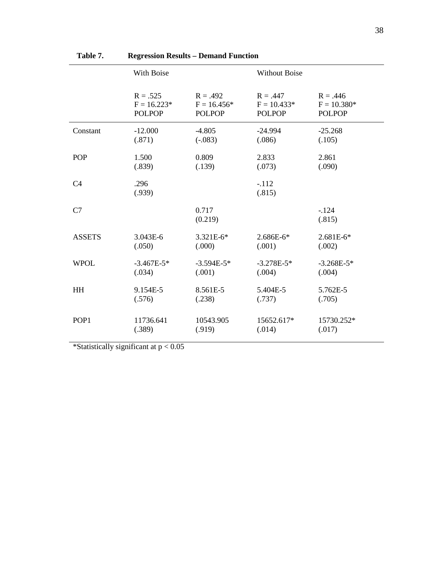|                  | With Boise     |                  | <b>Without Boise</b> |                  |  |
|------------------|----------------|------------------|----------------------|------------------|--|
|                  | $R = .525$     | $R = .492$       | $R = .447$           | $R = .446$       |  |
|                  | $F = 16.223*$  | $F = 16.456*$    | $F = 10.433*$        | $F = 10.380*$    |  |
|                  | <b>POLPOP</b>  | <b>POLPOP</b>    | <b>POLPOP</b>        | <b>POLPOP</b>    |  |
| Constant         | $-12.000$      | $-4.805$         | $-24.994$            | $-25.268$        |  |
|                  | (.871)         | $(-.083)$        | (.086)               | (.105)           |  |
| <b>POP</b>       | 1.500          | 0.809            | 2.833                | 2.861            |  |
|                  | (.839)         | (.139)           | (.073)               | (.090)           |  |
| C <sub>4</sub>   | .296<br>(.939) |                  | $-112$<br>(.815)     |                  |  |
| C7               |                | 0.717<br>(0.219) |                      | $-124$<br>(.815) |  |
| <b>ASSETS</b>    | 3.043E-6       | 3.321E-6*        | 2.686E-6*            | 2.681E-6*        |  |
|                  | (.050)         | (.000)           | (.001)               | (.002)           |  |
| <b>WPOL</b>      | $-3.467E - 5*$ | $-3.594E-5*$     | $-3.278E-5*$         | $-3.268E-5*$     |  |
|                  | (.034)         | (.001)           | (.004)               | (.004)           |  |
| <b>HH</b>        | 9.154E-5       | 8.561E-5         | 5.404E-5             | 5.762E-5         |  |
|                  | (.576)         | (.238)           | (.737)               | (.705)           |  |
| POP <sub>1</sub> | 11736.641      | 10543.905        | 15652.617*           | 15730.252*       |  |
|                  | (.389)         | (.919)           | (.014)               | (.017)           |  |

# <span id="page-47-0"></span>**Table 7. Regression Results – Demand Function**

\*Statistically significant at  $p < 0.05$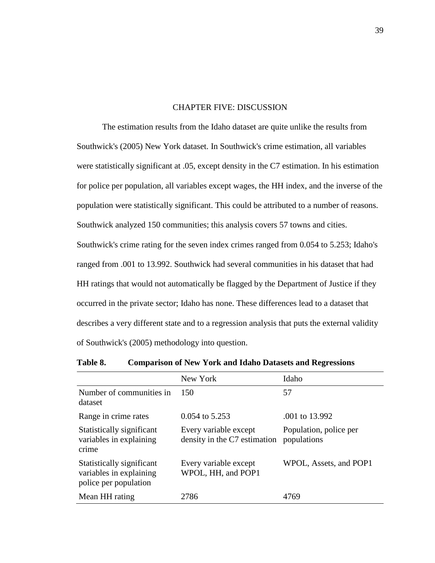### CHAPTER FIVE: DISCUSSION

<span id="page-48-0"></span>The estimation results from the Idaho dataset are quite unlike the results from Southwick's (2005) New York dataset. In Southwick's crime estimation, all variables were statistically significant at .05, except density in the C7 estimation. In his estimation for police per population, all variables except wages, the HH index, and the inverse of the population were statistically significant. This could be attributed to a number of reasons. Southwick analyzed 150 communities; this analysis covers 57 towns and cities. Southwick's crime rating for the seven index crimes ranged from 0.054 to 5.253; Idaho's ranged from .001 to 13.992. Southwick had several communities in his dataset that had HH ratings that would not automatically be flagged by the Department of Justice if they occurred in the private sector; Idaho has none. These differences lead to a dataset that describes a very different state and to a regression analysis that puts the external validity of Southwick's (2005) methodology into question.

|                                                                               | New York                                              | Idaho                                 |
|-------------------------------------------------------------------------------|-------------------------------------------------------|---------------------------------------|
| Number of communities in<br>dataset                                           | 150                                                   | 57                                    |
| Range in crime rates                                                          | 0.054 to 5.253                                        | .001 to 13.992                        |
| Statistically significant<br>variables in explaining<br>crime                 | Every variable except<br>density in the C7 estimation | Population, police per<br>populations |
| Statistically significant<br>variables in explaining<br>police per population | Every variable except<br>WPOL, HH, and POP1           | WPOL, Assets, and POP1                |
| Mean HH rating                                                                | 2786                                                  | 4769                                  |

<span id="page-48-1"></span>

| Table 8. | <b>Comparison of New York and Idaho Datasets and Regressions</b> |  |  |  |
|----------|------------------------------------------------------------------|--|--|--|
|----------|------------------------------------------------------------------|--|--|--|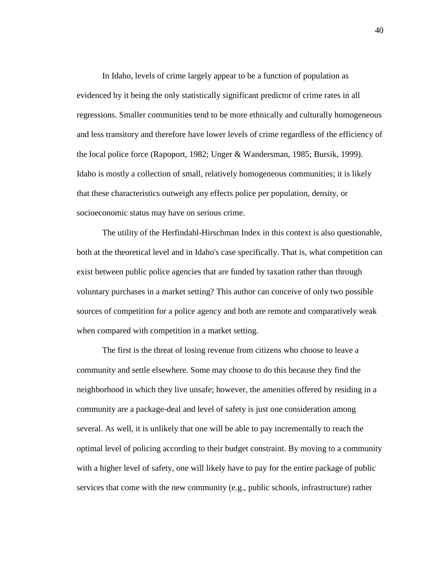In Idaho, levels of crime largely appear to be a function of population as evidenced by it being the only statistically significant predictor of crime rates in all regressions. Smaller communities tend to be more ethnically and culturally homogeneous and less transitory and therefore have lower levels of crime regardless of the efficiency of the local police force (Rapoport, 1982; Unger & Wandersman, 1985; Bursik, 1999). Idaho is mostly a collection of small, relatively homogeneous communities; it is likely that these characteristics outweigh any effects police per population, density, or socioeconomic status may have on serious crime.

The utility of the Herfindahl-Hirschman Index in this context is also questionable, both at the theoretical level and in Idaho's case specifically. That is, what competition can exist between public police agencies that are funded by taxation rather than through voluntary purchases in a market setting? This author can conceive of only two possible sources of competition for a police agency and both are remote and comparatively weak when compared with competition in a market setting.

The first is the threat of losing revenue from citizens who choose to leave a community and settle elsewhere. Some may choose to do this because they find the neighborhood in which they live unsafe; however, the amenities offered by residing in a community are a package-deal and level of safety is just one consideration among several. As well, it is unlikely that one will be able to pay incrementally to reach the optimal level of policing according to their budget constraint. By moving to a community with a higher level of safety, one will likely have to pay for the entire package of public services that come with the new community (e.g., public schools, infrastructure) rather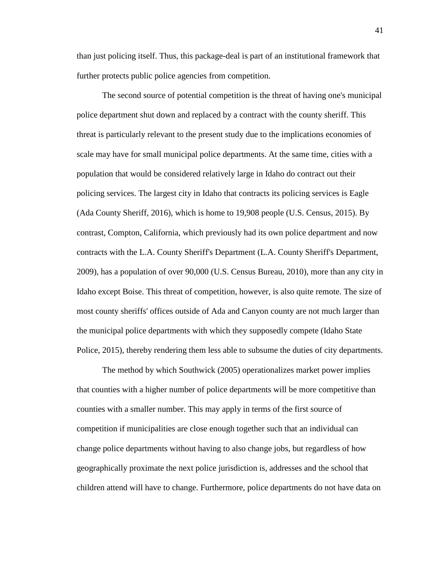than just policing itself. Thus, this package-deal is part of an institutional framework that further protects public police agencies from competition.

The second source of potential competition is the threat of having one's municipal police department shut down and replaced by a contract with the county sheriff. This threat is particularly relevant to the present study due to the implications economies of scale may have for small municipal police departments. At the same time, cities with a population that would be considered relatively large in Idaho do contract out their policing services. The largest city in Idaho that contracts its policing services is Eagle (Ada County Sheriff, 2016), which is home to 19,908 people (U.S. Census, 2015). By contrast, Compton, California, which previously had its own police department and now contracts with the L.A. County Sheriff's Department (L.A. County Sheriff's Department, 2009), has a population of over 90,000 (U.S. Census Bureau, 2010), more than any city in Idaho except Boise. This threat of competition, however, is also quite remote. The size of most county sheriffs' offices outside of Ada and Canyon county are not much larger than the municipal police departments with which they supposedly compete (Idaho State Police, 2015), thereby rendering them less able to subsume the duties of city departments.

The method by which Southwick (2005) operationalizes market power implies that counties with a higher number of police departments will be more competitive than counties with a smaller number. This may apply in terms of the first source of competition if municipalities are close enough together such that an individual can change police departments without having to also change jobs, but regardless of how geographically proximate the next police jurisdiction is, addresses and the school that children attend will have to change. Furthermore, police departments do not have data on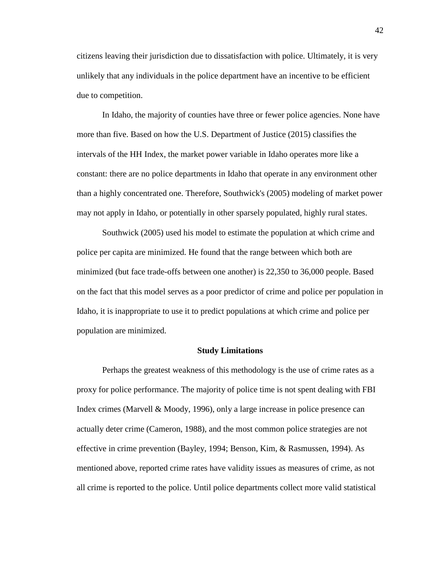citizens leaving their jurisdiction due to dissatisfaction with police. Ultimately, it is very unlikely that any individuals in the police department have an incentive to be efficient due to competition.

In Idaho, the majority of counties have three or fewer police agencies. None have more than five. Based on how the U.S. Department of Justice (2015) classifies the intervals of the HH Index, the market power variable in Idaho operates more like a constant: there are no police departments in Idaho that operate in any environment other than a highly concentrated one. Therefore, Southwick's (2005) modeling of market power may not apply in Idaho, or potentially in other sparsely populated, highly rural states.

Southwick (2005) used his model to estimate the population at which crime and police per capita are minimized. He found that the range between which both are minimized (but face trade-offs between one another) is 22,350 to 36,000 people. Based on the fact that this model serves as a poor predictor of crime and police per population in Idaho, it is inappropriate to use it to predict populations at which crime and police per population are minimized.

#### **Study Limitations**

<span id="page-51-0"></span>Perhaps the greatest weakness of this methodology is the use of crime rates as a proxy for police performance. The majority of police time is not spent dealing with FBI Index crimes (Marvell & Moody, 1996), only a large increase in police presence can actually deter crime (Cameron, 1988), and the most common police strategies are not effective in crime prevention (Bayley, 1994; Benson, Kim, & Rasmussen, 1994). As mentioned above, reported crime rates have validity issues as measures of crime, as not all crime is reported to the police. Until police departments collect more valid statistical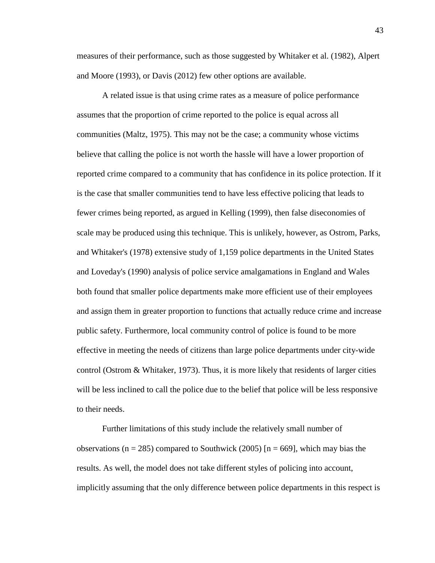measures of their performance, such as those suggested by Whitaker et al. (1982), Alpert and Moore (1993), or Davis (2012) few other options are available.

A related issue is that using crime rates as a measure of police performance assumes that the proportion of crime reported to the police is equal across all communities (Maltz, 1975). This may not be the case; a community whose victims believe that calling the police is not worth the hassle will have a lower proportion of reported crime compared to a community that has confidence in its police protection. If it is the case that smaller communities tend to have less effective policing that leads to fewer crimes being reported, as argued in Kelling (1999), then false diseconomies of scale may be produced using this technique. This is unlikely, however, as Ostrom, Parks, and Whitaker's (1978) extensive study of 1,159 police departments in the United States and Loveday's (1990) analysis of police service amalgamations in England and Wales both found that smaller police departments make more efficient use of their employees and assign them in greater proportion to functions that actually reduce crime and increase public safety. Furthermore, local community control of police is found to be more effective in meeting the needs of citizens than large police departments under city-wide control (Ostrom  $&$  Whitaker, 1973). Thus, it is more likely that residents of larger cities will be less inclined to call the police due to the belief that police will be less responsive to their needs.

Further limitations of this study include the relatively small number of observations ( $n = 285$ ) compared to Southwick (2005) [ $n = 669$ ], which may bias the results. As well, the model does not take different styles of policing into account, implicitly assuming that the only difference between police departments in this respect is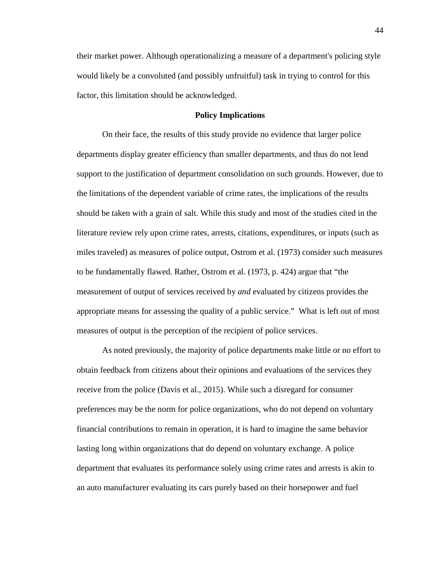their market power. Although operationalizing a measure of a department's policing style would likely be a convoluted (and possibly unfruitful) task in trying to control for this factor, this limitation should be acknowledged.

### **Policy Implications**

<span id="page-53-0"></span>On their face, the results of this study provide no evidence that larger police departments display greater efficiency than smaller departments, and thus do not lend support to the justification of department consolidation on such grounds. However, due to the limitations of the dependent variable of crime rates, the implications of the results should be taken with a grain of salt. While this study and most of the studies cited in the literature review rely upon crime rates, arrests, citations, expenditures, or inputs (such as miles traveled) as measures of police output, Ostrom et al. (1973) consider such measures to be fundamentally flawed. Rather, Ostrom et al. (1973, p. 424) argue that "the measurement of output of services received by *and* evaluated by citizens provides the appropriate means for assessing the quality of a public service." What is left out of most measures of output is the perception of the recipient of police services.

As noted previously, the majority of police departments make little or no effort to obtain feedback from citizens about their opinions and evaluations of the services they receive from the police (Davis et al., 2015). While such a disregard for consumer preferences may be the norm for police organizations, who do not depend on voluntary financial contributions to remain in operation, it is hard to imagine the same behavior lasting long within organizations that do depend on voluntary exchange. A police department that evaluates its performance solely using crime rates and arrests is akin to an auto manufacturer evaluating its cars purely based on their horsepower and fuel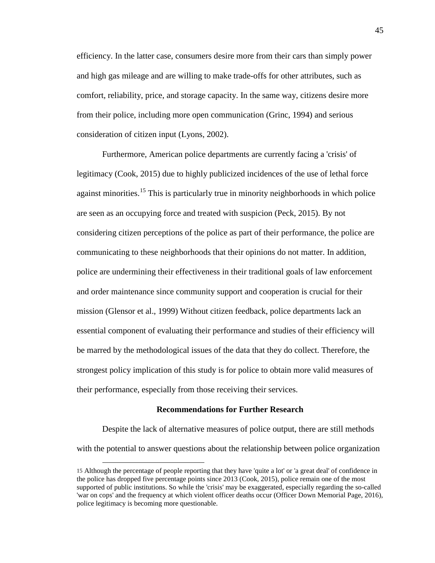efficiency. In the latter case, consumers desire more from their cars than simply power and high gas mileage and are willing to make trade-offs for other attributes, such as comfort, reliability, price, and storage capacity. In the same way, citizens desire more from their police, including more open communication (Grinc, 1994) and serious consideration of citizen input (Lyons, 2002).

Furthermore, American police departments are currently facing a 'crisis' of legitimacy (Cook, 2015) due to highly publicized incidences of the use of lethal force against minorities.<sup>[15](#page-54-1)</sup> This is particularly true in minority neighborhoods in which police are seen as an occupying force and treated with suspicion (Peck, 2015). By not considering citizen perceptions of the police as part of their performance, the police are communicating to these neighborhoods that their opinions do not matter. In addition, police are undermining their effectiveness in their traditional goals of law enforcement and order maintenance since community support and cooperation is crucial for their mission (Glensor et al., 1999) Without citizen feedback, police departments lack an essential component of evaluating their performance and studies of their efficiency will be marred by the methodological issues of the data that they do collect. Therefore, the strongest policy implication of this study is for police to obtain more valid measures of their performance, especially from those receiving their services.

#### **Recommendations for Further Research**

<span id="page-54-0"></span>Despite the lack of alternative measures of police output, there are still methods with the potential to answer questions about the relationship between police organization

<span id="page-54-1"></span> <sup>15</sup> Although the percentage of people reporting that they have 'quite a lot' or 'a great deal' of confidence in the police has dropped five percentage points since 2013 (Cook, 2015), police remain one of the most supported of public institutions. So while the 'crisis' may be exaggerated, especially regarding the so-called 'war on cops' and the frequency at which violent officer deaths occur (Officer Down Memorial Page, 2016), police legitimacy is becoming more questionable.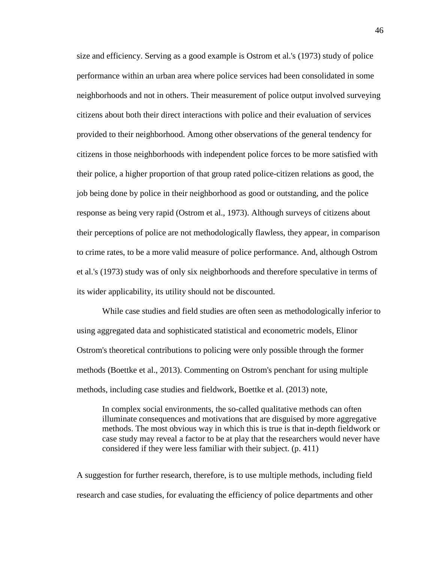size and efficiency. Serving as a good example is Ostrom et al.'s (1973) study of police performance within an urban area where police services had been consolidated in some neighborhoods and not in others. Their measurement of police output involved surveying citizens about both their direct interactions with police and their evaluation of services provided to their neighborhood. Among other observations of the general tendency for citizens in those neighborhoods with independent police forces to be more satisfied with their police, a higher proportion of that group rated police-citizen relations as good, the job being done by police in their neighborhood as good or outstanding, and the police response as being very rapid (Ostrom et al., 1973). Although surveys of citizens about their perceptions of police are not methodologically flawless, they appear, in comparison to crime rates, to be a more valid measure of police performance. And, although Ostrom et al.'s (1973) study was of only six neighborhoods and therefore speculative in terms of its wider applicability, its utility should not be discounted.

While case studies and field studies are often seen as methodologically inferior to using aggregated data and sophisticated statistical and econometric models, Elinor Ostrom's theoretical contributions to policing were only possible through the former methods (Boettke et al., 2013). Commenting on Ostrom's penchant for using multiple methods, including case studies and fieldwork, Boettke et al. (2013) note,

In complex social environments, the so-called qualitative methods can often illuminate consequences and motivations that are disguised by more aggregative methods. The most obvious way in which this is true is that in-depth fieldwork or case study may reveal a factor to be at play that the researchers would never have considered if they were less familiar with their subject. (p. 411)

A suggestion for further research, therefore, is to use multiple methods, including field research and case studies, for evaluating the efficiency of police departments and other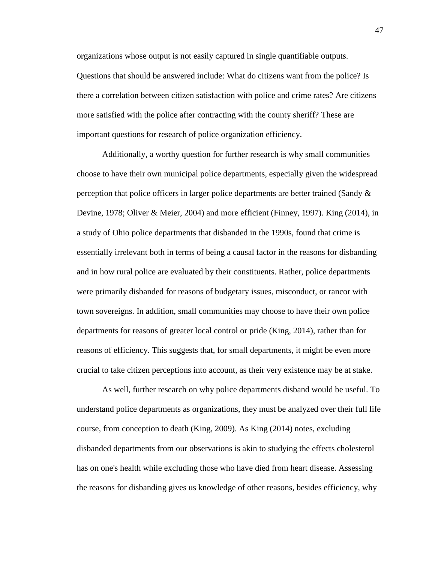organizations whose output is not easily captured in single quantifiable outputs. Questions that should be answered include: What do citizens want from the police? Is there a correlation between citizen satisfaction with police and crime rates? Are citizens more satisfied with the police after contracting with the county sheriff? These are important questions for research of police organization efficiency.

Additionally, a worthy question for further research is why small communities choose to have their own municipal police departments, especially given the widespread perception that police officers in larger police departments are better trained (Sandy & Devine, 1978; Oliver & Meier, 2004) and more efficient (Finney, 1997). King (2014), in a study of Ohio police departments that disbanded in the 1990s, found that crime is essentially irrelevant both in terms of being a causal factor in the reasons for disbanding and in how rural police are evaluated by their constituents. Rather, police departments were primarily disbanded for reasons of budgetary issues, misconduct, or rancor with town sovereigns. In addition, small communities may choose to have their own police departments for reasons of greater local control or pride (King, 2014), rather than for reasons of efficiency. This suggests that, for small departments, it might be even more crucial to take citizen perceptions into account, as their very existence may be at stake.

As well, further research on why police departments disband would be useful. To understand police departments as organizations, they must be analyzed over their full life course, from conception to death (King, 2009). As King (2014) notes, excluding disbanded departments from our observations is akin to studying the effects cholesterol has on one's health while excluding those who have died from heart disease. Assessing the reasons for disbanding gives us knowledge of other reasons, besides efficiency, why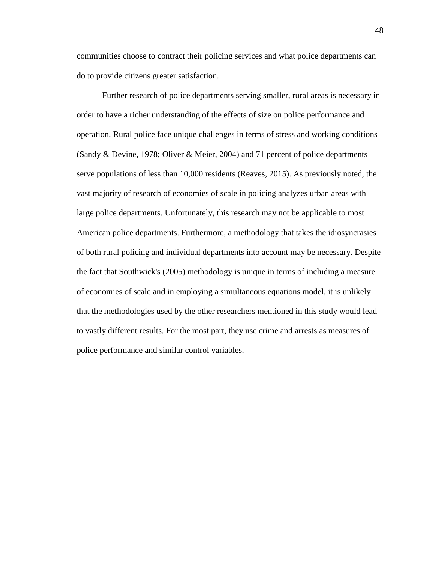communities choose to contract their policing services and what police departments can do to provide citizens greater satisfaction.

Further research of police departments serving smaller, rural areas is necessary in order to have a richer understanding of the effects of size on police performance and operation. Rural police face unique challenges in terms of stress and working conditions (Sandy & Devine, 1978; Oliver & Meier, 2004) and 71 percent of police departments serve populations of less than 10,000 residents (Reaves, 2015). As previously noted, the vast majority of research of economies of scale in policing analyzes urban areas with large police departments. Unfortunately, this research may not be applicable to most American police departments. Furthermore, a methodology that takes the idiosyncrasies of both rural policing and individual departments into account may be necessary. Despite the fact that Southwick's (2005) methodology is unique in terms of including a measure of economies of scale and in employing a simultaneous equations model, it is unlikely that the methodologies used by the other researchers mentioned in this study would lead to vastly different results. For the most part, they use crime and arrests as measures of police performance and similar control variables.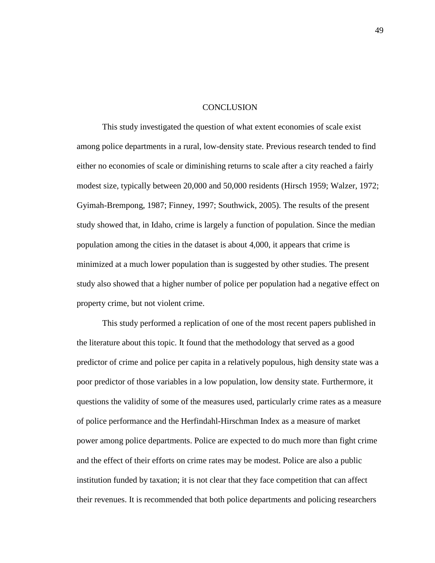#### **CONCLUSION**

<span id="page-58-0"></span>This study investigated the question of what extent economies of scale exist among police departments in a rural, low-density state. Previous research tended to find either no economies of scale or diminishing returns to scale after a city reached a fairly modest size, typically between 20,000 and 50,000 residents (Hirsch 1959; Walzer, 1972; Gyimah-Brempong, 1987; Finney, 1997; Southwick, 2005). The results of the present study showed that, in Idaho, crime is largely a function of population. Since the median population among the cities in the dataset is about 4,000, it appears that crime is minimized at a much lower population than is suggested by other studies. The present study also showed that a higher number of police per population had a negative effect on property crime, but not violent crime.

This study performed a replication of one of the most recent papers published in the literature about this topic. It found that the methodology that served as a good predictor of crime and police per capita in a relatively populous, high density state was a poor predictor of those variables in a low population, low density state. Furthermore, it questions the validity of some of the measures used, particularly crime rates as a measure of police performance and the Herfindahl-Hirschman Index as a measure of market power among police departments. Police are expected to do much more than fight crime and the effect of their efforts on crime rates may be modest. Police are also a public institution funded by taxation; it is not clear that they face competition that can affect their revenues. It is recommended that both police departments and policing researchers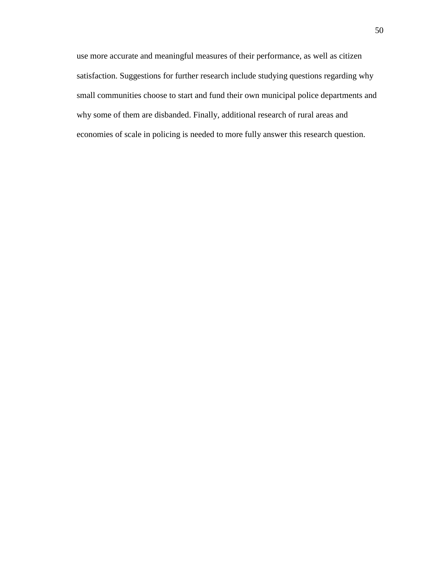use more accurate and meaningful measures of their performance, as well as citizen satisfaction. Suggestions for further research include studying questions regarding why small communities choose to start and fund their own municipal police departments and why some of them are disbanded. Finally, additional research of rural areas and economies of scale in policing is needed to more fully answer this research question.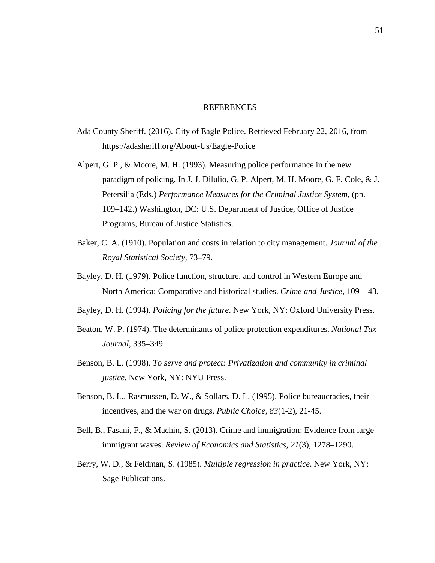#### **REFERENCES**

- <span id="page-60-0"></span>Ada County Sheriff. (2016). City of Eagle Police. Retrieved February 22, 2016, from https://adasheriff.org/About-Us/Eagle-Police
- Alpert, G. P., & Moore, M. H. (1993). Measuring police performance in the new paradigm of policing. In J. J. Dilulio, G. P. Alpert, M. H. Moore, G. F. Cole, & J. Petersilia (Eds.) *Performance Measures for the Criminal Justice System*, (pp. 109–142.) Washington, DC: U.S. Department of Justice, Office of Justice Programs, Bureau of Justice Statistics.
- Baker, C. A. (1910). Population and costs in relation to city management. *Journal of the Royal Statistical Society*, 73–79.
- Bayley, D. H. (1979). Police function, structure, and control in Western Europe and North America: Comparative and historical studies. *Crime and Justice*, 109–143.
- Bayley, D. H. (1994). *Policing for the future*. New York, NY: Oxford University Press.
- Beaton, W. P. (1974). The determinants of police protection expenditures. *National Tax Journal*, 335–349.
- Benson, B. L. (1998). *To serve and protect: Privatization and community in criminal justice*. New York, NY: NYU Press.
- Benson, B. L., Rasmussen, D. W., & Sollars, D. L. (1995). Police bureaucracies, their incentives, and the war on drugs. *Public Choice*, *83*(1-2), 21-45.
- Bell, B., Fasani, F., & Machin, S. (2013). Crime and immigration: Evidence from large immigrant waves. *Review of Economics and Statistics*, *21*(3), 1278–1290.
- Berry, W. D., & Feldman, S. (1985). *Multiple regression in practice*. New York, NY: Sage Publications.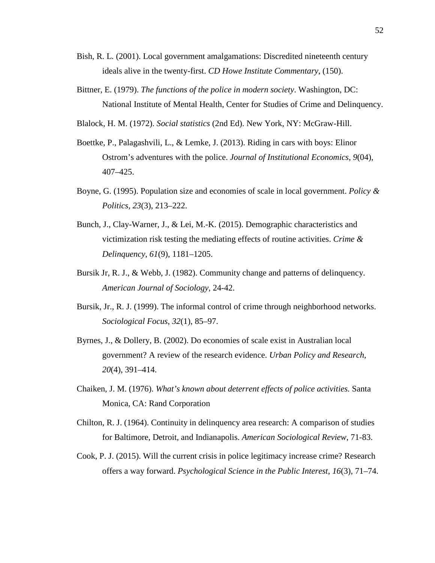- Bish, R. L. (2001). Local government amalgamations: Discredited nineteenth century ideals alive in the twenty-first. *CD Howe Institute Commentary*, (150).
- Bittner, E. (1979). *The functions of the police in modern society*. Washington, DC: National Institute of Mental Health, Center for Studies of Crime and Delinquency.
- Blalock, H. M. (1972). *Social statistics* (2nd Ed). New York, NY: McGraw-Hill.
- Boettke, P., Palagashvili, L., & Lemke, J. (2013). Riding in cars with boys: Elinor Ostrom's adventures with the police. *Journal of Institutional Economics*, *9*(04), 407–425.
- Boyne, G. (1995). Population size and economies of scale in local government. *Policy & Politics*, *23*(3), 213–222.
- Bunch, J., Clay-Warner, J., & Lei, M.-K. (2015). Demographic characteristics and victimization risk testing the mediating effects of routine activities. *Crime & Delinquency*, *61*(9), 1181–1205.
- Bursik Jr, R. J., & Webb, J. (1982). Community change and patterns of delinquency. *American Journal of Sociology*, 24-42.
- Bursik, Jr., R. J. (1999). The informal control of crime through neighborhood networks. *Sociological Focus*, *32*(1), 85–97.
- Byrnes, J., & Dollery, B. (2002). Do economies of scale exist in Australian local government? A review of the research evidence. *Urban Policy and Research*, *20*(4), 391–414.
- Chaiken, J. M. (1976). *What's known about deterrent effects of police activities.* Santa Monica, CA: Rand Corporation
- Chilton, R. J. (1964). Continuity in delinquency area research: A comparison of studies for Baltimore, Detroit, and Indianapolis. *American Sociological Review*, 71-83.
- Cook, P. J. (2015). Will the current crisis in police legitimacy increase crime? Research offers a way forward. *Psychological Science in the Public Interest*, *16*(3), 71–74.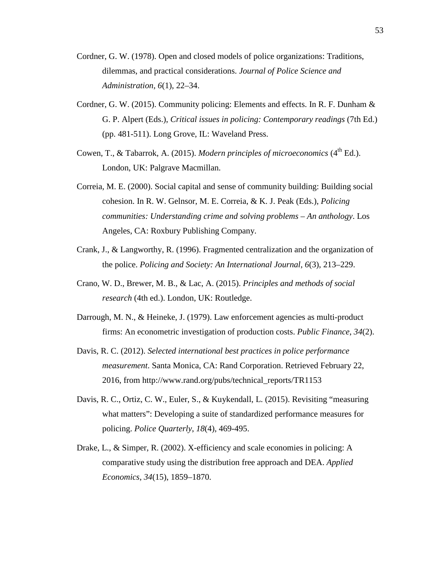- Cordner, G. W. (1978). Open and closed models of police organizations: Traditions, dilemmas, and practical considerations. *Journal of Police Science and Administration*, *6*(1), 22–34.
- Cordner, G. W. (2015). Community policing: Elements and effects. In R. F. Dunham & G. P. Alpert (Eds.), *Critical issues in policing: Contemporary readings* (7th Ed.) (pp. 481-511). Long Grove, IL: Waveland Press.
- Cowen, T., & Tabarrok, A. (2015). *Modern principles of microeconomics* (4<sup>th</sup> Ed.). London, UK: Palgrave Macmillan.
- Correia, M. E. (2000). Social capital and sense of community building: Building social cohesion. In R. W. Gelnsor, M. E. Correia, & K. J. Peak (Eds.), *Policing communities: Understanding crime and solving problems – An anthology*. Los Angeles, CA: Roxbury Publishing Company.
- Crank, J., & Langworthy, R. (1996). Fragmented centralization and the organization of the police. *Policing and Society: An International Journal*, *6*(3), 213–229.
- Crano, W. D., Brewer, M. B., & Lac, A. (2015). *Principles and methods of social research* (4th ed.). London, UK: Routledge.
- Darrough, M. N., & Heineke, J. (1979). Law enforcement agencies as multi-product firms: An econometric investigation of production costs. *Public Finance*, *34*(2).
- Davis, R. C. (2012). *Selected international best practices in police performance measurement*. Santa Monica, CA: Rand Corporation. Retrieved February 22, 2016, from http://www.rand.org/pubs/technical\_reports/TR1153
- Davis, R. C., Ortiz, C. W., Euler, S., & Kuykendall, L. (2015). Revisiting "measuring what matters": Developing a suite of standardized performance measures for policing. *Police Quarterly*, *18*(4), 469-495.
- Drake, L., & Simper, R. (2002). X-efficiency and scale economies in policing: A comparative study using the distribution free approach and DEA. *Applied Economics*, *34*(15), 1859–1870.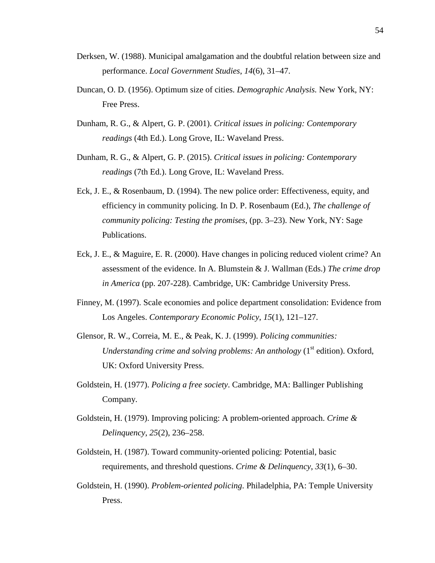- Derksen, W. (1988). Municipal amalgamation and the doubtful relation between size and performance. *Local Government Studies*, *14*(6), 31–47.
- Duncan, O. D. (1956). Optimum size of cities. *Demographic Analysis.* New York, NY: Free Press.
- Dunham, R. G., & Alpert, G. P. (2001). *Critical issues in policing: Contemporary readings* (4th Ed.). Long Grove, IL: Waveland Press.
- Dunham, R. G., & Alpert, G. P. (2015). *Critical issues in policing: Contemporary readings* (7th Ed.). Long Grove, IL: Waveland Press.
- Eck, J. E., & Rosenbaum, D. (1994). The new police order: Effectiveness, equity, and efficiency in community policing. In D. P. Rosenbaum (Ed.), *The challenge of community policing: Testing the promises*, (pp. 3–23). New York, NY: Sage Publications.
- Eck, J. E., & Maguire, E. R. (2000). Have changes in policing reduced violent crime? An assessment of the evidence. In A. Blumstein & J. Wallman (Eds.) *The crime drop in America* (pp. 207-228). Cambridge, UK: Cambridge University Press.
- Finney, M. (1997). Scale economies and police department consolidation: Evidence from Los Angeles. *Contemporary Economic Policy*, *15*(1), 121–127.
- Glensor, R. W., Correia, M. E., & Peak, K. J. (1999). *Policing communities: Understanding crime and solving problems: An anthology* (1<sup>st</sup> edition). Oxford, UK: Oxford University Press.
- Goldstein, H. (1977). *Policing a free society*. Cambridge, MA: Ballinger Publishing Company.
- Goldstein, H. (1979). Improving policing: A problem-oriented approach. *Crime & Delinquency*, *25*(2), 236–258.
- Goldstein, H. (1987). Toward community-oriented policing: Potential, basic requirements, and threshold questions. *Crime & Delinquency*, *33*(1), 6–30.
- Goldstein, H. (1990). *Problem-oriented policing*. Philadelphia, PA: Temple University Press.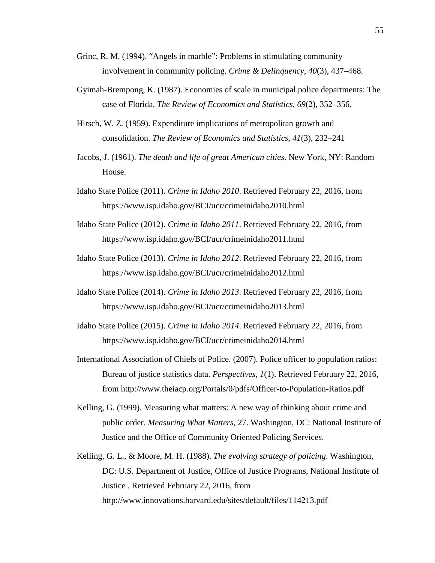- Grinc, R. M. (1994). "Angels in marble": Problems in stimulating community involvement in community policing. *Crime & Delinquency*, *40*(3), 437–468.
- Gyimah-Brempong, K. (1987). Economies of scale in municipal police departments: The case of Florida. *The Review of Economics and Statistics*, *69*(2), 352–356.
- Hirsch, W. Z. (1959). Expenditure implications of metropolitan growth and consolidation. *The Review of Economics and Statistics*, *41*(3), 232–241
- Jacobs, J. (1961). *The death and life of great American cities*. New York, NY: Random House.
- Idaho State Police (2011). *Crime in Idaho 2010*. Retrieved February 22, 2016, from https://www.isp.idaho.gov/BCI/ucr/crimeinidaho2010.html
- Idaho State Police (2012). *Crime in Idaho 2011*. Retrieved February 22, 2016, from https://www.isp.idaho.gov/BCI/ucr/crimeinidaho2011.html
- Idaho State Police (2013). *Crime in Idaho 2012*. Retrieved February 22, 2016, from https://www.isp.idaho.gov/BCI/ucr/crimeinidaho2012.html
- Idaho State Police (2014). *Crime in Idaho 2013*. Retrieved February 22, 2016, from https://www.isp.idaho.gov/BCI/ucr/crimeinidaho2013.html
- Idaho State Police (2015). *Crime in Idaho 2014*. Retrieved February 22, 2016, from https://www.isp.idaho.gov/BCI/ucr/crimeinidaho2014.html
- International Association of Chiefs of Police. (2007). Police officer to population ratios: Bureau of justice statistics data. *Perspectives*, *1*(1). Retrieved February 22, 2016, from http://www.theiacp.org/Portals/0/pdfs/Officer-to-Population-Ratios.pdf
- Kelling, G. (1999). Measuring what matters: A new way of thinking about crime and public order. *Measuring What Matters*, 27. Washington, DC: National Institute of Justice and the Office of Community Oriented Policing Services.
- Kelling, G. L., & Moore, M. H. (1988). *The evolving strategy of policing*. Washington, DC: U.S. Department of Justice, Office of Justice Programs, National Institute of Justice . Retrieved February 22, 2016, from http://www.innovations.harvard.edu/sites/default/files/114213.pdf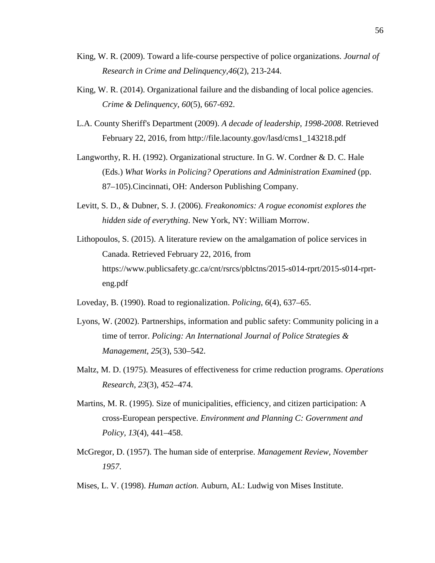- King, W. R. (2009). Toward a life-course perspective of police organizations. *Journal of Research in Crime and Delinquency,46*(2), 213-244.
- King, W. R. (2014). Organizational failure and the disbanding of local police agencies. *Crime & Delinquency, 60*(5), 667-692.
- L.A. County Sheriff's Department (2009). *A decade of leadership, 1998-2008*. Retrieved February 22, 2016, from http://file.lacounty.gov/lasd/cms1\_143218.pdf
- Langworthy, R. H. (1992). Organizational structure. In G. W. Cordner & D. C. Hale (Eds.) *What Works in Policing? Operations and Administration Examined* (pp. 87–105).Cincinnati, OH: Anderson Publishing Company.
- Levitt, S. D., & Dubner, S. J. (2006). *Freakonomics: A rogue economist explores the hidden side of everything*. New York, NY: William Morrow.
- Lithopoulos, S. (2015). A literature review on the amalgamation of police services in Canada. Retrieved February 22, 2016, from https://www.publicsafety.gc.ca/cnt/rsrcs/pblctns/2015-s014-rprt/2015-s014-rprteng.pdf
- Loveday, B. (1990). Road to regionalization. *Policing*, *6*(4), 637–65.
- Lyons, W. (2002). Partnerships, information and public safety: Community policing in a time of terror. *Policing: An International Journal of Police Strategies & Management*, *25*(3), 530–542.
- Maltz, M. D. (1975). Measures of effectiveness for crime reduction programs. *Operations Research*, *23*(3), 452–474.
- Martins, M. R. (1995). Size of municipalities, efficiency, and citizen participation: A cross-European perspective. *Environment and Planning C: Government and Policy*, *13*(4), 441–458.
- McGregor, D. (1957). The human side of enterprise. *Management Review, November 1957*.
- Mises, L. V. (1998). *Human action.* Auburn, AL: Ludwig von Mises Institute.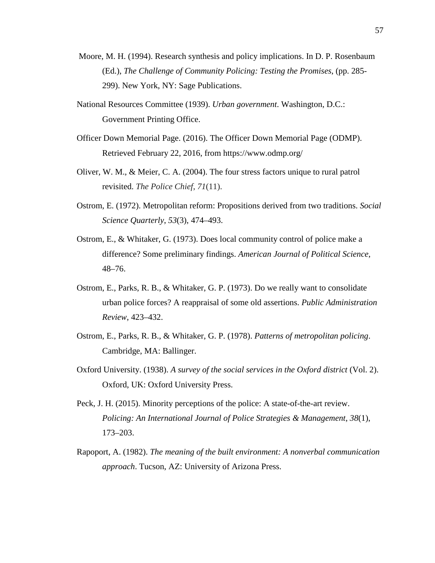- Moore, M. H. (1994). Research synthesis and policy implications. In D. P. Rosenbaum (Ed.), *The Challenge of Community Policing: Testing the Promises*, (pp. 285- 299). New York, NY: Sage Publications.
- National Resources Committee (1939). *Urban government*. Washington, D.C.: Government Printing Office.
- Officer Down Memorial Page. (2016). The Officer Down Memorial Page (ODMP). Retrieved February 22, 2016, from https://www.odmp.org/
- Oliver, W. M., & Meier, C. A. (2004). The four stress factors unique to rural patrol revisited. *The Police Chief*, *71*(11).
- Ostrom, E. (1972). Metropolitan reform: Propositions derived from two traditions. *Social Science Quarterly*, *53*(3), 474–493.
- Ostrom, E., & Whitaker, G. (1973). Does local community control of police make a difference? Some preliminary findings. *American Journal of Political Science*, 48–76.
- Ostrom, E., Parks, R. B., & Whitaker, G. P. (1973). Do we really want to consolidate urban police forces? A reappraisal of some old assertions. *Public Administration Review*, 423–432.
- Ostrom, E., Parks, R. B., & Whitaker, G. P. (1978). *Patterns of metropolitan policing*. Cambridge, MA: Ballinger.
- Oxford University. (1938). *A survey of the social services in the Oxford district* (Vol. 2). Oxford, UK: Oxford University Press.
- Peck, J. H. (2015). Minority perceptions of the police: A state-of-the-art review. *Policing: An International Journal of Police Strategies & Management*, *38*(1), 173–203.
- Rapoport, A. (1982). *The meaning of the built environment: A nonverbal communication approach*. Tucson, AZ: University of Arizona Press.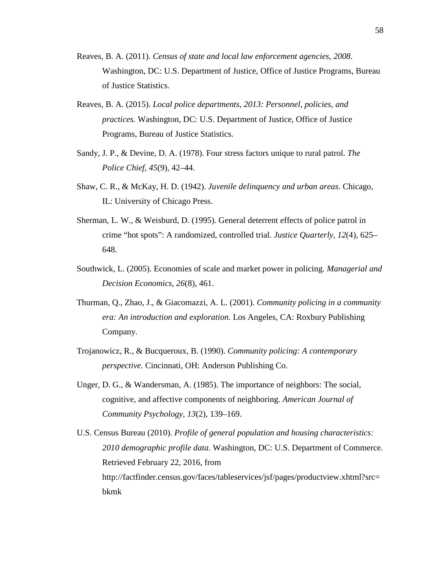- Reaves, B. A. (2011). *Census of state and local law enforcement agencies, 2008*. Washington, DC: U.S. Department of Justice, Office of Justice Programs, Bureau of Justice Statistics.
- Reaves, B. A. (2015). *Local police departments, 2013: Personnel, policies, and practices.* Washington, DC: U.S. Department of Justice, Office of Justice Programs, Bureau of Justice Statistics.
- Sandy, J. P., & Devine, D. A. (1978). Four stress factors unique to rural patrol. *The Police Chief*, *45*(9), 42–44.
- Shaw, C. R., & McKay, H. D. (1942). *Juvenile delinquency and urban areas*. Chicago, IL: University of Chicago Press.
- Sherman, L. W., & Weisburd, D. (1995). General deterrent effects of police patrol in crime "hot spots": A randomized, controlled trial. *Justice Quarterly*, *12*(4), 625– 648.
- Southwick, L. (2005). Economies of scale and market power in policing. *Managerial and Decision Economics*, *26*(8), 461.
- Thurman, Q., Zhao, J., & Giacomazzi, A. L. (2001). *Community policing in a community era: An introduction and exploration*. Los Angeles, CA: Roxbury Publishing Company.
- Trojanowicz, R., & Bucqueroux, B. (1990). *Community policing: A contemporary perspective.* Cincinnati, OH: Anderson Publishing Co.
- Unger, D. G., & Wandersman, A. (1985). The importance of neighbors: The social, cognitive, and affective components of neighboring. *American Journal of Community Psychology*, *13*(2), 139–169.
- U.S. Census Bureau (2010). *Profile of general population and housing characteristics: 2010 demographic profile data*. Washington, DC: U.S. Department of Commerce. Retrieved February 22, 2016, from http://factfinder.census.gov/faces/tableservices/jsf/pages/productview.xhtml?src= bkmk